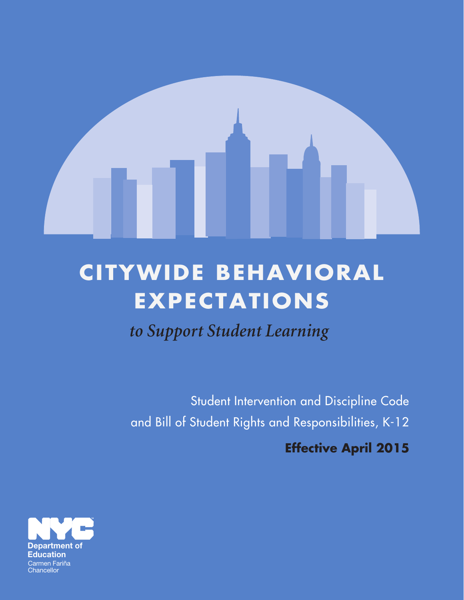

## **CITYWIDE BEHAVIORAL EXPECTATIONS**

*to Support Student Learning*

Student Intervention and Discipline Code and Bill of Student Rights and Responsibilities, K-12

**Effective April 2015**

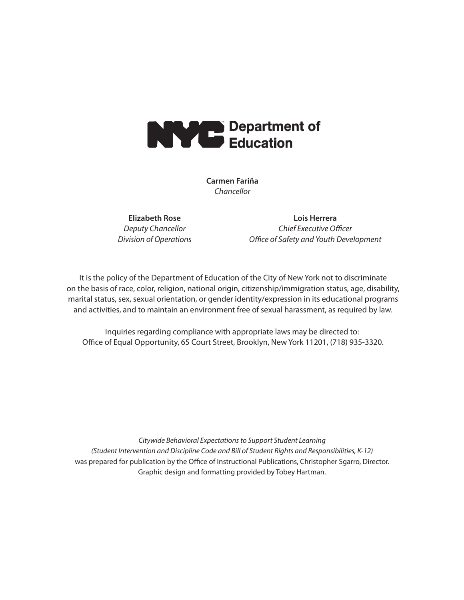

**Carmen Fariña** *Chancellor*

**Elizabeth Rose** *Deputy Chancellor Division of Operations*

**Lois Herrera** *Chief Executive Officer Office of Safety and Youth Development*

It is the policy of the Department of Education of the City of New York not to discriminate on the basis of race, color, religion, national origin, citizenship/immigration status, age, disability, marital status, sex, sexual orientation, or gender identity/expression in its educational programs and activities, and to maintain an environment free of sexual harassment, as required by law.

Inquiries regarding compliance with appropriate laws may be directed to: Office of Equal Opportunity, 65 Court Street, Brooklyn, New York 11201, (718) 935-3320.

*Citywide Behavioral Expectations to Support Student Learning (Student Intervention and Discipline Code and Bill of Student Rights and Responsibilities, K-12)* was prepared for publication by the Office of Instructional Publications, Christopher Sgarro, Director. Graphic design and formatting provided by Tobey Hartman.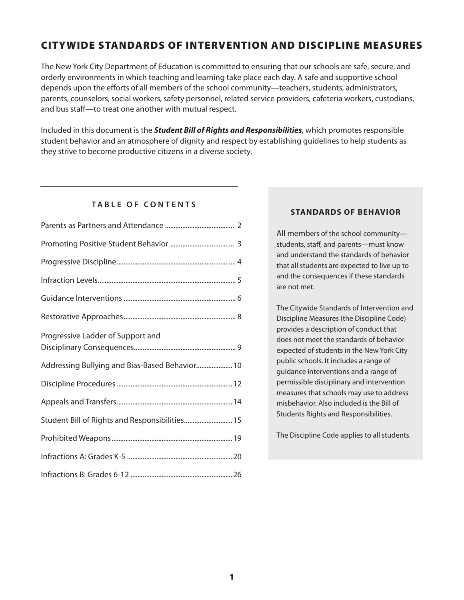## CITYWIDE STANDARDS OF INTERVENTION AND DISCIPLINE MEASURES

The New York City Department of Education is committed to ensuring that our schools are safe, secure, and orderly environments in which teaching and learning take place each day. A safe and supportive school depends upon the efforts of all members of the school community—teachers, students, administrators, parents, counselors, social workers, safety personnel, related service providers, cafeteria workers, custodians, and bus staff—to treat one another with mutual respect.

Included in this document is the *Student Bill of Rights and Responsibilities*, which promotes responsible student behavior and an atmosphere of dignity and respect by establishing guidelines to help students as they strive to become productive citizens in a diverse society.

### **TABLE OF CONTENTS**

| Progressive Ladder of Support and              |
|------------------------------------------------|
| Addressing Bullying and Bias-Based Behavior 10 |
|                                                |
|                                                |
| Student Bill of Rights and Responsibilities 15 |
|                                                |
|                                                |
|                                                |

### **STANDARDS OF BEHAVIOR**

All members of the school community students, staff, and parents—must know and understand the standards of behavior that all students are expected to live up to and the consequences if these standards are not met.

The Citywide Standards of Intervention and Discipline Measures (the Discipline Code) provides a description of conduct that does not meet the standards of behavior expected of students in the New York City public schools. It includes a range of guidance interventions and a range of permissible disciplinary and intervention measures that schools may use to address misbehavior. Also included is the Bill of Students Rights and Responsibilities.

The Discipline Code applies to all students.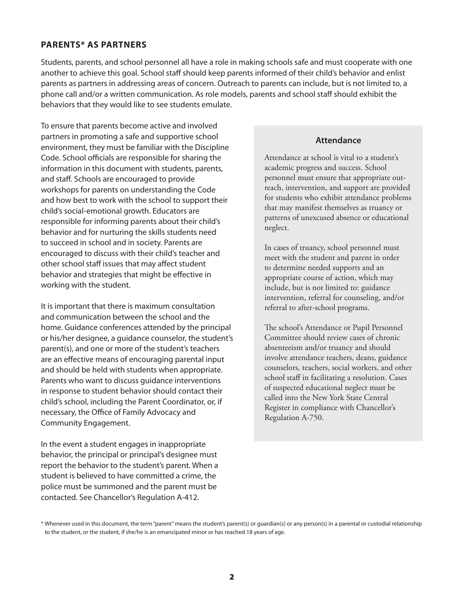### **PARENTS\* AS PARTNERS**

Students, parents, and school personnel all have a role in making schools safe and must cooperate with one another to achieve this goal. School staff should keep parents informed of their child's behavior and enlist parents as partners in addressing areas of concern. Outreach to parents can include, but is not limited to, a phone call and/or a written communication. As role models, parents and school staff should exhibit the behaviors that they would like to see students emulate.

To ensure that parents become active and involved partners in promoting a safe and supportive school environment, they must be familiar with the Discipline Code. School officials are responsible for sharing the information in this document with students, parents, and staff. Schools are encouraged to provide workshops for parents on understanding the Code and how best to work with the school to support their child's social-emotional growth. Educators are responsible for informing parents about their child's behavior and for nurturing the skills students need to succeed in school and in society. Parents are encouraged to discuss with their child's teacher and other school staff issues that may affect student behavior and strategies that might be effective in working with the student.

It is important that there is maximum consultation and communication between the school and the home. Guidance conferences attended by the principal or his/her designee, a guidance counselor, the student's parent(s), and one or more of the student's teachers are an effective means of encouraging parental input and should be held with students when appropriate. Parents who want to discuss guidance interventions in response to student behavior should contact their child's school, including the Parent Coordinator, or, if necessary, the Office of Family Advocacy and Community Engagement.

In the event a student engages in inappropriate behavior, the principal or principal's designee must report the behavior to the student's parent. When a student is believed to have committed a crime, the police must be summoned and the parent must be contacted. See Chancellor's Regulation A-412.

### **Attendance**

Attendance at school is vital to a student's academic progress and success. School personnel must ensure that appropriate outreach, intervention, and support are provided for students who exhibit attendance problems that may manifest themselves as truancy or patterns of unexcused absence or educational neglect.

In cases of truancy, school personnel must meet with the student and parent in order to determine needed supports and an appropriate course of action, which may include, but is not limited to: guidance intervention, referral for counseling, and/or referral to after-school programs.

The school's Attendance or Pupil Personnel Committee should review cases of chronic absenteeism and/or truancy and should involve attendance teachers, deans, guidance counselors, teachers, social workers, and other school staff in facilitating a resolution. Cases of suspected educational neglect must be called into the New York State Central Register in compliance with Chancellor's Regulation A-750.

<sup>\*</sup> Whenever used in this document, the term "parent" means the student's parent(s) or guardian(s) or any person(s) in a parental or custodial relationship to the student, or the student, if she/he is an emancipated minor or has reached 18 years of age.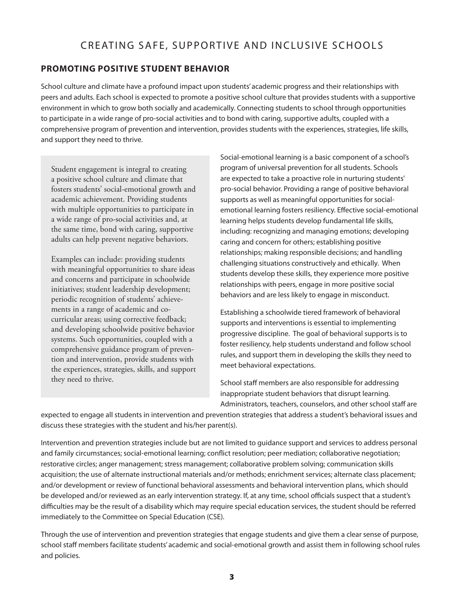## CREATING SAFE, SUPPORTIVE AND INCLUSIVE SCHOOLS

### **PROMOTING POSITIVE STUDENT BEHAVIOR**

School culture and climate have a profound impact upon students' academic progress and their relationships with peers and adults. Each school is expected to promote a positive school culture that provides students with a supportive environment in which to grow both socially and academically. Connecting students to school through opportunities to participate in a wide range of pro-social activities and to bond with caring, supportive adults, coupled with a comprehensive program of prevention and intervention, provides students with the experiences, strategies, life skills, and support they need to thrive.

Student engagement is integral to creating a positive school culture and climate that fosters students' social-emotional growth and academic achievement. Providing students with multiple opportunities to participate in a wide range of pro-social activities and, at the same time, bond with caring, supportive adults can help prevent negative behaviors.

Examples can include: providing students with meaningful opportunities to share ideas and concerns and participate in schoolwide initiatives; student leadership development; periodic recognition of students' achievements in a range of academic and cocurricular areas; using corrective feedback; and developing schoolwide positive behavior systems. Such opportunities, coupled with a comprehensive guidance program of prevention and intervention, provide students with the experiences, strategies, skills, and support they need to thrive.

Social-emotional learning is a basic component of a school's program of universal prevention for all students. Schools are expected to take a proactive role in nurturing students' pro-social behavior. Providing a range of positive behavioral supports as well as meaningful opportunities for socialemotional learning fosters resiliency. Effective social-emotional learning helps students develop fundamental life skills, including: recognizing and managing emotions; developing caring and concern for others; establishing positive relationships; making responsible decisions; and handling challenging situations constructively and ethically. When students develop these skills, they experience more positive relationships with peers, engage in more positive social behaviors and are less likely to engage in misconduct.

Establishing a schoolwide tiered framework of behavioral supports and interventions is essential to implementing progressive discipline. The goal of behavioral supports is to foster resiliency, help students understand and follow school rules, and support them in developing the skills they need to meet behavioral expectations.

School staff members are also responsible for addressing inappropriate student behaviors that disrupt learning. Administrators, teachers, counselors, and other school staff are

expected to engage all students in intervention and prevention strategies that address a student's behavioral issues and discuss these strategies with the student and his/her parent(s).

Intervention and prevention strategies include but are not limited to guidance support and services to address personal and family circumstances; social-emotional learning; conflict resolution; peer mediation; collaborative negotiation; restorative circles; anger management; stress management; collaborative problem solving; communication skills acquisition; the use of alternate instructional materials and/or methods; enrichment services; alternate class placement; and/or development or review of functional behavioral assessments and behavioral intervention plans, which should be developed and/or reviewed as an early intervention strategy. If, at any time, school officials suspect that a student's difficulties may be the result of a disability which may require special education services, the student should be referred immediately to the Committee on Special Education (CSE).

Through the use of intervention and prevention strategies that engage students and give them a clear sense of purpose, school staff members facilitate students' academic and social-emotional growth and assist them in following school rules and policies.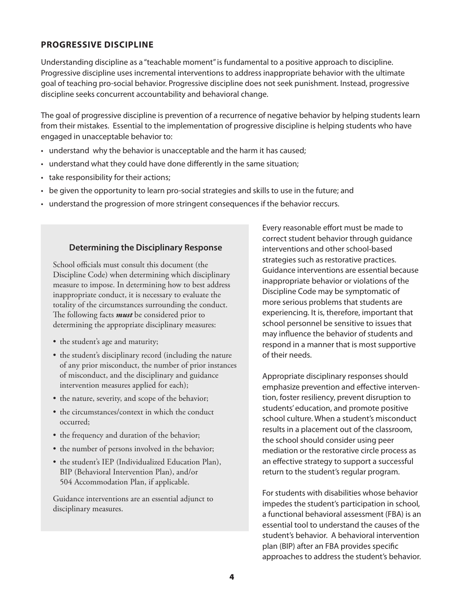### **PROGRESSIVE DISCIPLINE**

Understanding discipline as a "teachable moment" is fundamental to a positive approach to discipline. Progressive discipline uses incremental interventions to address inappropriate behavior with the ultimate goal of teaching pro-social behavior. Progressive discipline does not seek punishment. Instead, progressive discipline seeks concurrent accountability and behavioral change.

The goal of progressive discipline is prevention of a recurrence of negative behavior by helping students learn from their mistakes. Essential to the implementation of progressive discipline is helping students who have engaged in unacceptable behavior to:

- understand why the behavior is unacceptable and the harm it has caused;
- understand what they could have done differently in the same situation;
- take responsibility for their actions;
- • be given the opportunity to learn pro-social strategies and skills to use in the future; and
- understand the progression of more stringent consequences if the behavior reccurs.

#### **Determining the Disciplinary Response**

School officials must consult this document (the Discipline Code) when determining which disciplinary measure to impose. In determining how to best address inappropriate conduct, it is necessary to evaluate the totality of the circumstances surrounding the conduct. The following facts *must* be considered prior to determining the appropriate disciplinary measures:

- the student's age and maturity;
- the student's disciplinary record (including the nature of any prior misconduct, the number of prior instances of misconduct, and the disciplinary and guidance intervention measures applied for each);
- the nature, severity, and scope of the behavior;
- the circumstances/context in which the conduct occurred;
- the frequency and duration of the behavior;
- the number of persons involved in the behavior;
- the student's IEP (Individualized Education Plan), BIP (Behavioral Intervention Plan), and/or 504 Accommodation Plan, if applicable.

Guidance interventions are an essential adjunct to disciplinary measures.

Every reasonable effort must be made to correct student behavior through guidance interventions and other school-based strategies such as restorative practices. Guidance interventions are essential because inappropriate behavior or violations of the Discipline Code may be symptomatic of more serious problems that students are experiencing. It is, therefore, important that school personnel be sensitive to issues that may influence the behavior of students and respond in a manner that is most supportive of their needs.

Appropriate disciplinary responses should emphasize prevention and effective intervention, foster resiliency, prevent disruption to students' education, and promote positive school culture. When a student's misconduct results in a placement out of the classroom, the school should consider using peer mediation or the restorative circle process as an effective strategy to support a successful return to the student's regular program.

For students with disabilities whose behavior impedes the student's participation in school, a functional behavioral assessment (FBA) is an essential tool to understand the causes of the student's behavior. A behavioral intervention plan (BIP) after an FBA provides specific approaches to address the student's behavior.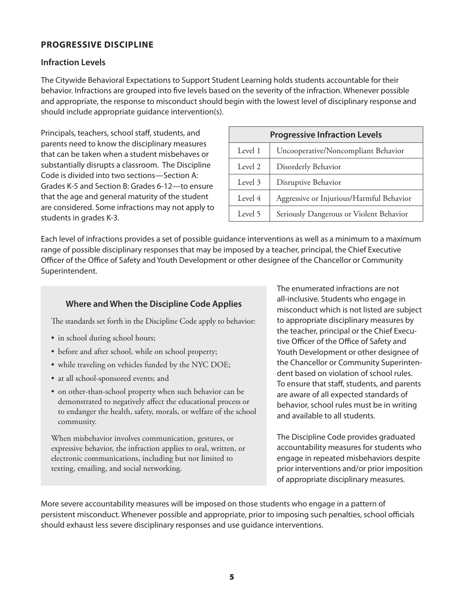### **PROGRESSIVE DISCIPLINE**

### **Infraction Levels**

The Citywide Behavioral Expectations to Support Student Learning holds students accountable for their behavior. Infractions are grouped into five levels based on the severity of the infraction. Whenever possible and appropriate, the response to misconduct should begin with the lowest level of disciplinary response and should include appropriate guidance intervention(s).

Principals, teachers, school staff, students, and parents need to know the disciplinary measures that can be taken when a student misbehaves or substantially disrupts a classroom. The Discipline Code is divided into two sections—Section A: Grades K-5 and Section B: Grades 6-12—to ensure that the age and general maturity of the student are considered. Some infractions may not apply to students in grades K-3.

| <b>Progressive Infraction Levels</b> |                                          |  |  |
|--------------------------------------|------------------------------------------|--|--|
| Level 1                              | Uncooperative/Noncompliant Behavior      |  |  |
| Level 2                              | Disorderly Behavior                      |  |  |
| Level 3                              | Disruptive Behavior                      |  |  |
| Level 4                              | Aggressive or Injurious/Harmful Behavior |  |  |
| Level 5                              | Seriously Dangerous or Violent Behavior  |  |  |

Each level of infractions provides a set of possible guidance interventions as well as a minimum to a maximum range of possible disciplinary responses that may be imposed by a teacher, principal, the Chief Executive Officer of the Office of Safety and Youth Development or other designee of the Chancellor or Community Superintendent.

### **Where and When the Discipline Code Applies**

The standards set forth in the Discipline Code apply to behavior:

- in school during school hours;
- before and after school, while on school property;
- while traveling on vehicles funded by the NYC DOE;
- at all school-sponsored events; and
- on other-than-school property when such behavior can be demonstrated to negatively affect the educational process or to endanger the health, safety, morals, or welfare of the school community.

When misbehavior involves communication, gestures, or expressive behavior, the infraction applies to oral, written, or electronic communications, including but not limited to texting, emailing, and social networking.

The enumerated infractions are not all-inclusive. Students who engage in misconduct which is not listed are subject to appropriate disciplinary measures by the teacher, principal or the Chief Executive Officer of the Office of Safety and Youth Development or other designee of the Chancellor or Community Superintendent based on violation of school rules. To ensure that staff, students, and parents are aware of all expected standards of behavior, school rules must be in writing and available to all students.

The Discipline Code provides graduated accountability measures for students who engage in repeated misbehaviors despite prior interventions and/or prior imposition of appropriate disciplinary measures.

More severe accountability measures will be imposed on those students who engage in a pattern of persistent misconduct. Whenever possible and appropriate, prior to imposing such penalties, school officials should exhaust less severe disciplinary responses and use guidance interventions.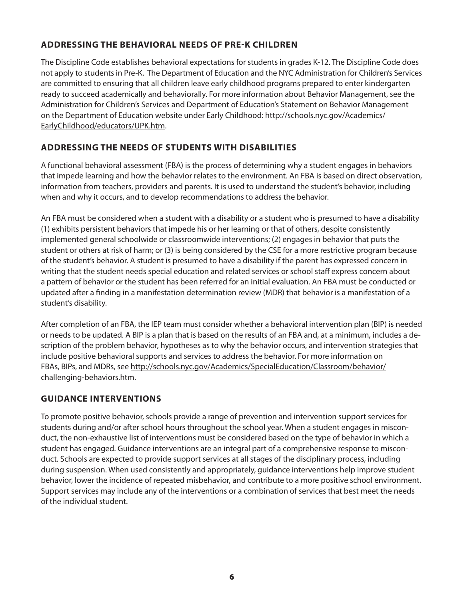## **ADDRESSING THE BEHAVIORAL NEEDS OF PRE-K CHILDREN**

The Discipline Code establishes behavioral expectations for students in grades K-12. The Discipline Code does not apply to students in Pre-K. The Department of Education and the NYC Administration for Children's Services are committed to ensuring that all children leave early childhood programs prepared to enter kindergarten ready to succeed academically and behaviorally. For more information about Behavior Management, see the Administration for Children's Services and Department of Education's Statement on Behavior Management on the Department of Education website under Early Childhood: http://schools.nyc.gov/Academics/ EarlyChildhood/educators/UPK.htm.

## **ADDRESSING THE NEEDS OF STUDENTS WITH DISABILITIES**

A functional behavioral assessment (FBA) is the process of determining why a student engages in behaviors that impede learning and how the behavior relates to the environment. An FBA is based on direct observation, information from teachers, providers and parents. It is used to understand the student's behavior, including when and why it occurs, and to develop recommendations to address the behavior.

An FBA must be considered when a student with a disability or a student who is presumed to have a disability (1) exhibits persistent behaviors that impede his or her learning or that of others, despite consistently implemented general schoolwide or classroomwide interventions; (2) engages in behavior that puts the student or others at risk of harm; or (3) is being considered by the CSE for a more restrictive program because of the student's behavior. A student is presumed to have a disability if the parent has expressed concern in writing that the student needs special education and related services or school staff express concern about a pattern of behavior or the student has been referred for an initial evaluation. An FBA must be conducted or updated after a finding in a manifestation determination review (MDR) that behavior is a manifestation of a student's disability.

After completion of an FBA, the IEP team must consider whether a behavioral intervention plan (BIP) is needed or needs to be updated. A BIP is a plan that is based on the results of an FBA and, at a minimum, includes a description of the problem behavior, hypotheses as to why the behavior occurs, and intervention strategies that include positive behavioral supports and services to address the behavior. For more information on FBAs, BIPs, and MDRs, see http://schools.nyc.gov/Academics/SpecialEducation/Classroom/behavior/ challenging-behaviors.htm.

## **GUIDANCE INTERVENTIONS**

To promote positive behavior, schools provide a range of prevention and intervention support services for students during and/or after school hours throughout the school year. When a student engages in misconduct, the non-exhaustive list of interventions must be considered based on the type of behavior in which a student has engaged. Guidance interventions are an integral part of a comprehensive response to misconduct. Schools are expected to provide support services at all stages of the disciplinary process, including during suspension. When used consistently and appropriately, guidance interventions help improve student behavior, lower the incidence of repeated misbehavior, and contribute to a more positive school environment. Support services may include any of the interventions or a combination of services that best meet the needs of the individual student.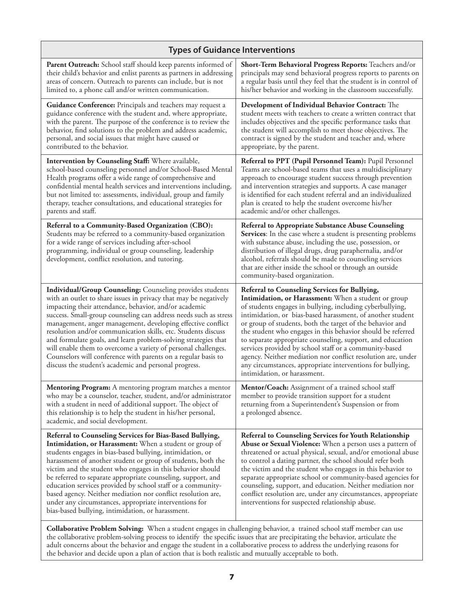| <b>Types of Guidance Interventions</b>                                                                                                                                                                                                                                                                                                                                                                                                                                                                                                                                                                                                                                                                                                                      |                                                                                                                                                                                                                                                                                                                                                                                                                                                                                                                                                                                                                                                    |  |  |
|-------------------------------------------------------------------------------------------------------------------------------------------------------------------------------------------------------------------------------------------------------------------------------------------------------------------------------------------------------------------------------------------------------------------------------------------------------------------------------------------------------------------------------------------------------------------------------------------------------------------------------------------------------------------------------------------------------------------------------------------------------------|----------------------------------------------------------------------------------------------------------------------------------------------------------------------------------------------------------------------------------------------------------------------------------------------------------------------------------------------------------------------------------------------------------------------------------------------------------------------------------------------------------------------------------------------------------------------------------------------------------------------------------------------------|--|--|
| Parent Outreach: School staff should keep parents informed of<br>their child's behavior and enlist parents as partners in addressing<br>areas of concern. Outreach to parents can include, but is not<br>limited to, a phone call and/or written communication.                                                                                                                                                                                                                                                                                                                                                                                                                                                                                             | Short-Term Behavioral Progress Reports: Teachers and/or<br>principals may send behavioral progress reports to parents on<br>a regular basis until they feel that the student is in control of<br>his/her behavior and working in the classroom successfully.                                                                                                                                                                                                                                                                                                                                                                                       |  |  |
| Guidance Conference: Principals and teachers may request a<br>guidance conference with the student and, where appropriate,<br>with the parent. The purpose of the conference is to review the<br>behavior, find solutions to the problem and address academic,<br>personal, and social issues that might have caused or<br>contributed to the behavior.                                                                                                                                                                                                                                                                                                                                                                                                     | Development of Individual Behavior Contract: The<br>student meets with teachers to create a written contract that<br>includes objectives and the specific performance tasks that<br>the student will accomplish to meet those objectives. The<br>contract is signed by the student and teacher and, where<br>appropriate, by the parent.                                                                                                                                                                                                                                                                                                           |  |  |
| Intervention by Counseling Staff: Where available,<br>school-based counseling personnel and/or School-Based Mental<br>Health programs offer a wide range of comprehensive and<br>confidential mental health services and interventions including,<br>but not limited to: assessments, individual, group and family<br>therapy, teacher consultations, and educational strategies for<br>parents and staff.                                                                                                                                                                                                                                                                                                                                                  | Referral to PPT (Pupil Personnel Team): Pupil Personnel<br>Teams are school-based teams that uses a multidisciplinary<br>approach to encourage student success through prevention<br>and intervention strategies and supports. A case manager<br>is identified for each student referral and an individualized<br>plan is created to help the student overcome his/her<br>academic and/or other challenges.                                                                                                                                                                                                                                        |  |  |
| Referral to a Community-Based Organization (CBO):<br>Students may be referred to a community-based organization<br>for a wide range of services including after-school<br>programming, individual or group counseling, leadership<br>development, conflict resolution, and tutoring.                                                                                                                                                                                                                                                                                                                                                                                                                                                                        | Referral to Appropriate Substance Abuse Counseling<br>Services: In the case where a student is presenting problems<br>with substance abuse, including the use, possession, or<br>distribution of illegal drugs, drug paraphernalia, and/or<br>alcohol, referrals should be made to counseling services<br>that are either inside the school or through an outside<br>community-based organization.                                                                                                                                                                                                                                                 |  |  |
| <b>Individual/Group Counseling:</b> Counseling provides students<br>with an outlet to share issues in privacy that may be negatively<br>impacting their attendance, behavior, and/or academic<br>success. Small-group counseling can address needs such as stress<br>management, anger management, developing effective conflict<br>resolution and/or communication skills, etc. Students discuss<br>and formulate goals, and learn problem-solving strategies that<br>will enable them to overcome a variety of personal challenges.<br>Counselors will conference with parents on a regular basis to<br>discuss the student's academic and personal progress.                                                                                             | Referral to Counseling Services for Bullying,<br>Intimidation, or Harassment: When a student or group<br>of students engages in bullying, including cyberbullying,<br>intimidation, or bias-based harassment, of another student<br>or group of students, both the target of the behavior and<br>the student who engages in this behavior should be referred<br>to separate appropriate counseling, support, and education<br>services provided by school staff or a community-based<br>agency. Neither mediation nor conflict resolution are, under<br>any circumstances, appropriate interventions for bullying,<br>intimidation, or harassment. |  |  |
| <b>Mentoring Program:</b> A mentoring program matches a mentor<br>who may be a counselor, teacher, student, and/or administrator<br>with a student in need of additional support. The object of<br>this relationship is to help the student in his/her personal,<br>academic, and social development.                                                                                                                                                                                                                                                                                                                                                                                                                                                       | Mentor/Coach: Assignment of a trained school staff<br>member to provide transition support for a student<br>returning from a Superintendent's Suspension or from<br>a prolonged absence.                                                                                                                                                                                                                                                                                                                                                                                                                                                           |  |  |
| Referral to Counseling Services for Bias-Based Bullying,<br>Intimidation, or Harassment: When a student or group of<br>students engages in bias-based bullying, intimidation, or<br>harassment of another student or group of students, both the<br>victim and the student who engages in this behavior should<br>be referred to separate appropriate counseling, support, and<br>education services provided by school staff or a community-<br>based agency. Neither mediation nor conflict resolution are,<br>under any circumstances, appropriate interventions for<br>bias-based bullying, intimidation, or harassment.<br><b>Collaborative Problem Solving:</b> When a student engages in challenging behavior, a trained school staff member can use | Referral to Counseling Services for Youth Relationship<br>Abuse or Sexual Violence: When a person uses a pattern of<br>threatened or actual physical, sexual, and/or emotional abuse<br>to control a dating partner, the school should refer both<br>the victim and the student who engages in this behavior to<br>separate appropriate school or community-based agencies for<br>counseling, support, and education. Neither mediation nor<br>conflict resolution are, under any circumstances, appropriate<br>interventions for suspected relationship abuse.                                                                                    |  |  |

**Collaborative Problem Solving:** When a student engages in challenging behavior, a trained school staff member can use the collaborative problem-solving process to identify the specific issues that are precipitating the behavior, articulate the adult concerns about the behavior and engage the student in a collaborative process to address the underlying reasons for the behavior and decide upon a plan of action that is both realistic and mutually acceptable to both.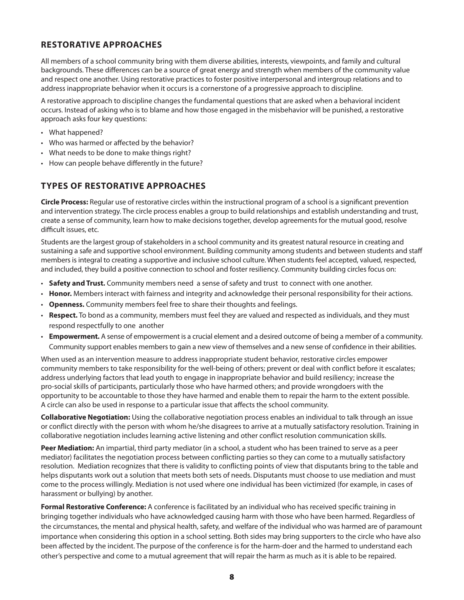### **RESTORATIVE APPROACHES**

All members of a school community bring with them diverse abilities, interests, viewpoints, and family and cultural backgrounds. These differences can be a source of great energy and strength when members of the community value and respect one another. Using restorative practices to foster positive interpersonal and intergroup relations and to address inappropriate behavior when it occurs is a cornerstone of a progressive approach to discipline.

A restorative approach to discipline changes the fundamental questions that are asked when a behavioral incident occurs. Instead of asking who is to blame and how those engaged in the misbehavior will be punished, a restorative approach asks four key questions:

- What happened?
- • Who was harmed or affected by the behavior?
- What needs to be done to make things right?
- How can people behave differently in the future?

## **TYPES OF RESTORATIVE APPROACHES**

**Circle Process:** Regular use of restorative circles within the instructional program of a school is a significant prevention and intervention strategy. The circle process enables a group to build relationships and establish understanding and trust, create a sense of community, learn how to make decisions together, develop agreements for the mutual good, resolve difficult issues, etc.

Students are the largest group of stakeholders in a school community and its greatest natural resource in creating and sustaining a safe and supportive school environment. Building community among students and between students and staff members is integral to creating a supportive and inclusive school culture. When students feel accepted, valued, respected, and included, they build a positive connection to school and foster resiliency. Community building circles focus on:

- • **Safety and Trust.** Community members need a sense of safety and trust to connect with one another.
- • **Honor.** Members interact with fairness and integrity and acknowledge their personal responsibility for their actions.
- • **Openness.** Community members feel free to share their thoughts and feelings.
- • **Respect.** To bond as a community, members must feel they are valued and respected as individuals, and they must respond respectfully to one another
- • **Empowerment.** A sense of empowerment is a crucial element and a desired outcome of being a member of a community. Community support enables members to gain a new view of themselves and a new sense of confidence in their abilities.

When used as an intervention measure to address inappropriate student behavior, restorative circles empower community members to take responsibility for the well-being of others; prevent or deal with conflict before it escalates; address underlying factors that lead youth to engage in inappropriate behavior and build resiliency; increase the pro-social skills of participants, particularly those who have harmed others; and provide wrongdoers with the opportunity to be accountable to those they have harmed and enable them to repair the harm to the extent possible. A circle can also be used in response to a particular issue that affects the school community.

**Collaborative Negotiation:** Using the collaborative negotiation process enables an individual to talk through an issue or conflict directly with the person with whom he/she disagrees to arrive at a mutually satisfactory resolution. Training in collaborative negotiation includes learning active listening and other conflict resolution communication skills.

**Peer Mediation:** An impartial, third party mediator (in a school, a student who has been trained to serve as a peer mediator) facilitates the negotiation process between conflicting parties so they can come to a mutually satisfactory resolution. Mediation recognizes that there is validity to conflicting points of view that disputants bring to the table and helps disputants work out a solution that meets both sets of needs. Disputants must choose to use mediation and must come to the process willingly. Mediation is not used where one individual has been victimized (for example, in cases of harassment or bullying) by another.

**Formal Restorative Conference:** A conference is facilitated by an individual who has received specific training in bringing together individuals who have acknowledged causing harm with those who have been harmed. Regardless of the circumstances, the mental and physical health, safety, and welfare of the individual who was harmed are of paramount importance when considering this option in a school setting. Both sides may bring supporters to the circle who have also been affected by the incident. The purpose of the conference is for the harm-doer and the harmed to understand each other's perspective and come to a mutual agreement that will repair the harm as much as it is able to be repaired.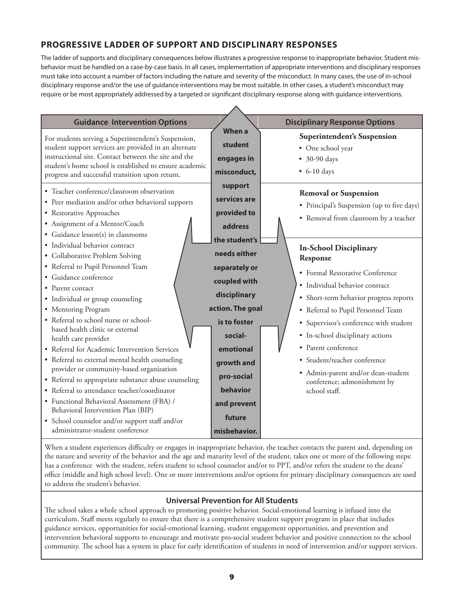## **PROGRESSIVE LADDER OF SUPPORT AND DISCIPLINARY RESPONSES**

The ladder of supports and disciplinary consequences below illustrates a progressive response to inappropriate behavior. Student misbehavior must be handled on a case-by-case basis. In all cases, implementation of appropriate interventions and disciplinary responses must take into account a number of factors including the nature and severity of the misconduct. In many cases, the use of in-school disciplinary response and/or the use of guidance interventions may be most suitable. In other cases, a student's misconduct may require or be most appropriately addressed by a targeted or significant disciplinary response along with guidance interventions.



When a student experiences difficulty or engages in inappropriate behavior, the teacher contacts the parent and, depending on the nature and severity of the behavior and the age and maturity level of the student, takes one or more of the following steps: has a conference with the student, refers student to school counselor and/or to PPT, and/or refers the student to the deans' office (middle and high school level). One or more interventions and/or options for primary disciplinary consequences are used to address the student's behavior.

### **Universal Prevention for All Students**

The school takes a whole school approach to promoting positive behavior. Social-emotional learning is infused into the curriculum. Staff meets regularly to ensure that there is a comprehensive student support program in place that includes guidance services, opportunities for social-emotional learning, student engagement opportunities, and prevention and intervention behavioral supports to encourage and motivate pro-social student behavior and positive connection to the school community. The school has a system in place for early identification of students in need of intervention and/or support services.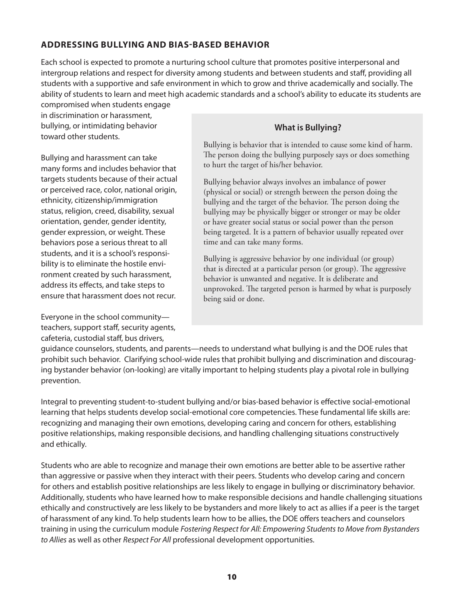### **ADDRESSING BULLYING AND BIAS-BASED BEHAVIOR**

Each school is expected to promote a nurturing school culture that promotes positive interpersonal and intergroup relations and respect for diversity among students and between students and staff, providing all students with a supportive and safe environment in which to grow and thrive academically and socially. The ability of students to learn and meet high academic standards and a school's ability to educate its students are compromised when students engage

in discrimination or harassment, bullying, or intimidating behavior toward other students.

Bullying and harassment can take many forms and includes behavior that targets students because of their actual or perceived race, color, national origin, ethnicity, citizenship/immigration status, religion, creed, disability, sexual orientation, gender, gender identity, gender expression, or weight. These behaviors pose a serious threat to all students, and it is a school's responsibility is to eliminate the hostile environment created by such harassment, address its effects, and take steps to ensure that harassment does not recur.

Everyone in the school community teachers, support staff, security agents, cafeteria, custodial staff, bus drivers,

## **What is Bullying?**

Bullying is behavior that is intended to cause some kind of harm. The person doing the bullying purposely says or does something to hurt the target of his/her behavior.

Bullying behavior always involves an imbalance of power (physical or social) or strength between the person doing the bullying and the target of the behavior. The person doing the bullying may be physically bigger or stronger or may be older or have greater social status or social power than the person being targeted. It is a pattern of behavior usually repeated over time and can take many forms.

Bullying is aggressive behavior by one individual (or group) that is directed at a particular person (or group). The aggressive behavior is unwanted and negative. It is deliberate and unprovoked. The targeted person is harmed by what is purposely being said or done.

guidance counselors, students, and parents—needs to understand what bullying is and the DOE rules that prohibit such behavior. Clarifying school-wide rules that prohibit bullying and discrimination and discouraging bystander behavior (on-looking) are vitally important to helping students play a pivotal role in bullying prevention.

Integral to preventing student-to-student bullying and/or bias-based behavior is effective social-emotional learning that helps students develop social-emotional core competencies. These fundamental life skills are: recognizing and managing their own emotions, developing caring and concern for others, establishing positive relationships, making responsible decisions, and handling challenging situations constructively and ethically.

Students who are able to recognize and manage their own emotions are better able to be assertive rather than aggressive or passive when they interact with their peers. Students who develop caring and concern for others and establish positive relationships are less likely to engage in bullying or discriminatory behavior. Additionally, students who have learned how to make responsible decisions and handle challenging situations ethically and constructively are less likely to be bystanders and more likely to act as allies if a peer is the target of harassment of any kind. To help students learn how to be allies, the DOE offers teachers and counselors training in using the curriculum module *Fostering Respect for All: Empowering Students to Move from Bystanders to Allies* as well as other *Respect For All* professional development opportunities.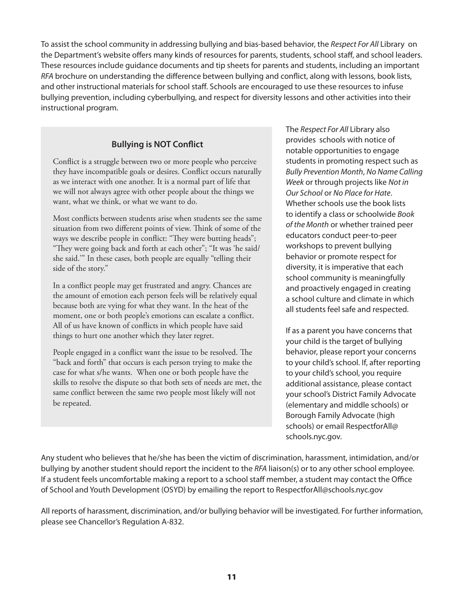To assist the school community in addressing bullying and bias-based behavior, the *Respect For All* Library on the Department's website offers many kinds of resources for parents, students, school staff, and school leaders. These resources include guidance documents and tip sheets for parents and students, including an important *RFA* brochure on understanding the difference between bullying and conflict, along with lessons, book lists, and other instructional materials for school staff. Schools are encouraged to use these resources to infuse bullying prevention, including cyberbullying, and respect for diversity lessons and other activities into their instructional program.

## **Bullying is NOT Conflict**

Conflict is a struggle between two or more people who perceive they have incompatible goals or desires. Conflict occurs naturally as we interact with one another. It is a normal part of life that we will not always agree with other people about the things we want, what we think, or what we want to do.

Most conflicts between students arise when students see the same situation from two different points of view. Think of some of the ways we describe people in conflict: "They were butting heads"; "They were going back and forth at each other"; "It was 'he said/ she said.'" In these cases, both people are equally "telling their side of the story."

In a conflict people may get frustrated and angry. Chances are the amount of emotion each person feels will be relatively equal because both are vying for what they want. In the heat of the moment, one or both people's emotions can escalate a conflict. All of us have known of conflicts in which people have said things to hurt one another which they later regret.

People engaged in a conflict want the issue to be resolved. The "back and forth" that occurs is each person trying to make the case for what s/he wants. When one or both people have the skills to resolve the dispute so that both sets of needs are met, the same conflict between the same two people most likely will not be repeated.

The *Respect For All* Library also provides schools with notice of notable opportunities to engage students in promoting respect such as *Bully Prevention Month*, *No Name Calling Week* or through projects like *Not in Our School* or *No Place for Hate*. Whether schools use the book lists to identify a class or schoolwide *Book of the Month* or whether trained peer educators conduct peer-to-peer workshops to prevent bullying behavior or promote respect for diversity, it is imperative that each school community is meaningfully and proactively engaged in creating a school culture and climate in which all students feel safe and respected.

If as a parent you have concerns that your child is the target of bullying behavior, please report your concerns to your child's school. If, after reporting to your child's school, you require additional assistance, please contact your school's District Family Advocate (elementary and middle schools) or Borough Family Advocate (high schools) or email RespectforAll@ schools.nyc.gov.

Any student who believes that he/she has been the victim of discrimination, harassment, intimidation, and/or bullying by another student should report the incident to the *RFA* liaison(s) or to any other school employee. If a student feels uncomfortable making a report to a school staff member, a student may contact the Office of School and Youth Development (OSYD) by emailing the report to RespectforAll@schools.nyc.gov

All reports of harassment, discrimination, and/or bullying behavior will be investigated. For further information, please see Chancellor's Regulation A-832.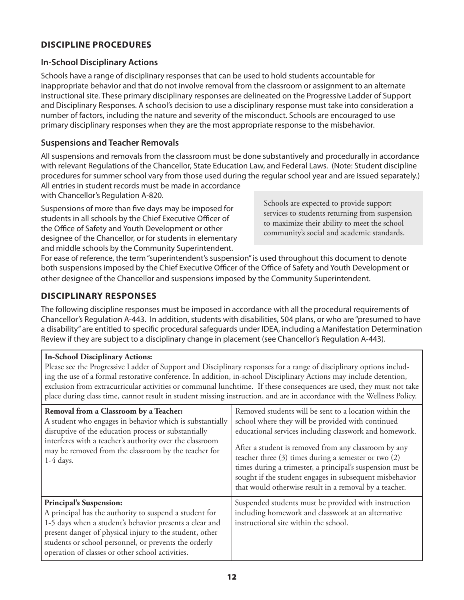## **DISCIPLINE PROCEDURES**

### **In-School Disciplinary Actions**

Schools have a range of disciplinary responses that can be used to hold students accountable for inappropriate behavior and that do not involve removal from the classroom or assignment to an alternate instructional site. These primary disciplinary responses are delineated on the Progressive Ladder of Support and Disciplinary Responses. A school's decision to use a disciplinary response must take into consideration a number of factors, including the nature and severity of the misconduct. Schools are encouraged to use primary disciplinary responses when they are the most appropriate response to the misbehavior.

### **Suspensions and Teacher Removals**

All suspensions and removals from the classroom must be done substantively and procedurally in accordance with relevant Regulations of the Chancellor, State Education Law, and Federal Laws. (Note: Student discipline procedures for summer school vary from those used during the regular school year and are issued separately.) All entries in student records must be made in accordance

with Chancellor's Regulation A-820.

Suspensions of more than five days may be imposed for students in all schools by the Chief Executive Officer of the Office of Safety and Youth Development or other designee of the Chancellor, or for students in elementary and middle schools by the Community Superintendent.

Schools are expected to provide support services to students returning from suspension to maximize their ability to meet the school community's social and academic standards.

For ease of reference, the term "superintendent's suspension" is used throughout this document to denote both suspensions imposed by the Chief Executive Officer of the Office of Safety and Youth Development or other designee of the Chancellor and suspensions imposed by the Community Superintendent.

## **DISCIPLINARY RESPONSES**

The following discipline responses must be imposed in accordance with all the procedural requirements of Chancellor's Regulation A-443. In addition, students with disabilities, 504 plans, or who are "presumed to have a disability" are entitled to specific procedural safeguards under IDEA, including a Manifestation Determination Review if they are subject to a disciplinary change in placement (see Chancellor's Regulation A-443).

### **In-School Disciplinary Actions:**

Please see the Progressive Ladder of Support and Disciplinary responses for a range of disciplinary options including the use of a formal restorative conference. In addition, in-school Disciplinary Actions may include detention, exclusion from extracurricular activities or communal lunchtime. If these consequences are used, they must not take place during class time, cannot result in student missing instruction, and are in accordance with the Wellness Policy.

| Removal from a Classroom by a Teacher:<br>A student who engages in behavior which is substantially<br>disruptive of the education process or substantially<br>interferes with a teacher's authority over the classroom<br>may be removed from the classroom by the teacher for<br>$1-4$ days.                               | Removed students will be sent to a location within the<br>school where they will be provided with continued<br>educational services including classwork and homework.<br>After a student is removed from any classroom by any<br>teacher three (3) times during a semester or two (2)<br>times during a trimester, a principal's suspension must be<br>sought if the student engages in subsequent misbehavior<br>that would otherwise result in a removal by a teacher. |
|-----------------------------------------------------------------------------------------------------------------------------------------------------------------------------------------------------------------------------------------------------------------------------------------------------------------------------|--------------------------------------------------------------------------------------------------------------------------------------------------------------------------------------------------------------------------------------------------------------------------------------------------------------------------------------------------------------------------------------------------------------------------------------------------------------------------|
| <b>Principal's Suspension:</b><br>A principal has the authority to suspend a student for<br>1-5 days when a student's behavior presents a clear and<br>present danger of physical injury to the student, other<br>students or school personnel, or prevents the orderly<br>operation of classes or other school activities. | Suspended students must be provided with instruction<br>including homework and classwork at an alternative<br>instructional site within the school.                                                                                                                                                                                                                                                                                                                      |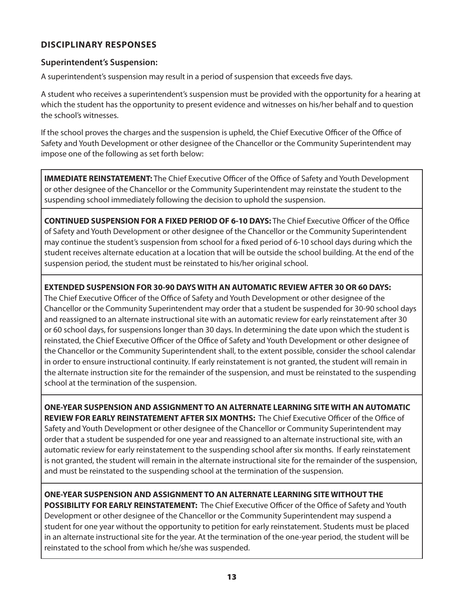## **DISCIPLINARY RESPONSES**

### **Superintendent's Suspension:**

A superintendent's suspension may result in a period of suspension that exceeds five days.

A student who receives a superintendent's suspension must be provided with the opportunity for a hearing at which the student has the opportunity to present evidence and witnesses on his/her behalf and to question the school's witnesses.

If the school proves the charges and the suspension is upheld, the Chief Executive Officer of the Office of Safety and Youth Development or other designee of the Chancellor or the Community Superintendent may impose one of the following as set forth below:

**IMMEDIATE REINSTATEMENT:** The Chief Executive Officer of the Office of Safety and Youth Development or other designee of the Chancellor or the Community Superintendent may reinstate the student to the suspending school immediately following the decision to uphold the suspension.

**CONTINUED SUSPENSION FOR A FIXED PERIOD OF 6-10 DAYS:** The Chief Executive Officer of the Office of Safety and Youth Development or other designee of the Chancellor or the Community Superintendent may continue the student's suspension from school for a fixed period of 6-10 school days during which the student receives alternate education at a location that will be outside the school building. At the end of the suspension period, the student must be reinstated to his/her original school.

**EXTENDED SUSPENSION FOR 30-90 DAYS WITH AN AUTOMATIC REVIEW AFTER 30 OR 60 DAYS:** The Chief Executive Officer of the Office of Safety and Youth Development or other designee of the Chancellor or the Community Superintendent may order that a student be suspended for 30-90 school days and reassigned to an alternate instructional site with an automatic review for early reinstatement after 30 or 60 school days, for suspensions longer than 30 days. In determining the date upon which the student is reinstated, the Chief Executive Officer of the Office of Safety and Youth Development or other designee of the Chancellor or the Community Superintendent shall, to the extent possible, consider the school calendar in order to ensure instructional continuity. If early reinstatement is not granted, the student will remain in the alternate instruction site for the remainder of the suspension, and must be reinstated to the suspending school at the termination of the suspension.

**ONE-YEAR SUSPENSION AND ASSIGNMENT TO AN ALTERNATE LEARNING SITE WITH AN AUTOMATIC REVIEW FOR EARLY REINSTATEMENT AFTER SIX MONTHS:** The Chief Executive Officer of the Office of Safety and Youth Development or other designee of the Chancellor or Community Superintendent may order that a student be suspended for one year and reassigned to an alternate instructional site, with an automatic review for early reinstatement to the suspending school after six months. If early reinstatement is not granted, the student will remain in the alternate instructional site for the remainder of the suspension, and must be reinstated to the suspending school at the termination of the suspension.

**ONE-YEAR SUSPENSION AND ASSIGNMENT TO AN ALTERNATE LEARNING SITE WITHOUT THE POSSIBILITY FOR EARLY REINSTATEMENT:** The Chief Executive Officer of the Office of Safety and Youth Development or other designee of the Chancellor or the Community Superintendent may suspend a student for one year without the opportunity to petition for early reinstatement. Students must be placed in an alternate instructional site for the year. At the termination of the one-year period, the student will be reinstated to the school from which he/she was suspended.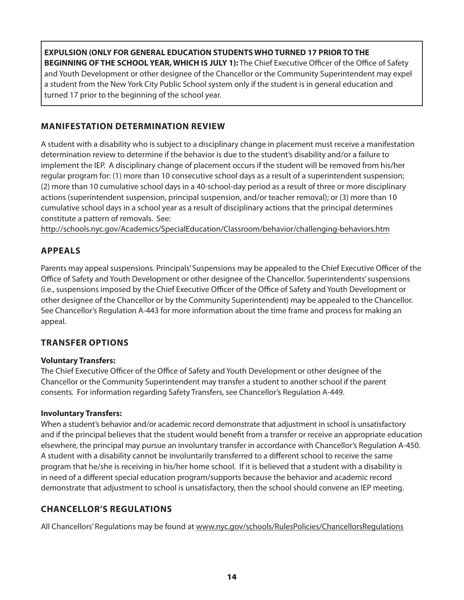**EXPULSION (ONLY FOR GENERAL EDUCATION STUDENTS WHO TURNED 17 PRIOR TO THE BEGINNING OF THE SCHOOL YEAR, WHICH IS JULY 1):** The Chief Executive Officer of the Office of Safety and Youth Development or other designee of the Chancellor or the Community Superintendent may expel a student from the New York City Public School system only if the student is in general education and turned 17 prior to the beginning of the school year.

## **MANIFESTATION DETERMINATION REVIEW**

A student with a disability who is subject to a disciplinary change in placement must receive a manifestation determination review to determine if the behavior is due to the student's disability and/or a failure to implement the IEP. A disciplinary change of placement occurs if the student will be removed from his/her regular program for: (1) more than 10 consecutive school days as a result of a superintendent suspension; (2) more than 10 cumulative school days in a 40-school-day period as a result of three or more disciplinary actions (superintendent suspension, principal suspension, and/or teacher removal); or (3) more than 10 cumulative school days in a school year as a result of disciplinary actions that the principal determines constitute a pattern of removals. See:

http://schools.nyc.gov/Academics/SpecialEducation/Classroom/behavior/challenging-behaviors.htm

## **APPEALS**

Parents may appeal suspensions. Principals' Suspensions may be appealed to the Chief Executive Officer of the Office of Safety and Youth Development or other designee of the Chancellor. Superintendents' suspensions (i.e., suspensions imposed by the Chief Executive Officer of the Office of Safety and Youth Development or other designee of the Chancellor or by the Community Superintendent) may be appealed to the Chancellor. See Chancellor's Regulation A-443 for more information about the time frame and process for making an appeal.

## **TRANSFER OPTIONS**

### **Voluntary Transfers:**

The Chief Executive Officer of the Office of Safety and Youth Development or other designee of the Chancellor or the Community Superintendent may transfer a student to another school if the parent consents. For information regarding Safety Transfers, see Chancellor's Regulation A-449.

### **Involuntary Transfers:**

When a student's behavior and/or academic record demonstrate that adjustment in school is unsatisfactory and if the principal believes that the student would benefit from a transfer or receive an appropriate education elsewhere, the principal may pursue an involuntary transfer in accordance with Chancellor's Regulation A-450. A student with a disability cannot be involuntarily transferred to a different school to receive the same program that he/she is receiving in his/her home school. If it is believed that a student with a disability is in need of a different special education program/supports because the behavior and academic record demonstrate that adjustment to school is unsatisfactory, then the school should convene an IEP meeting.

## **CHANCELLOR'S REGULATIONS**

All Chancellors' Regulations may be found at www.nyc.gov/schools/RulesPolicies/ChancellorsRegulations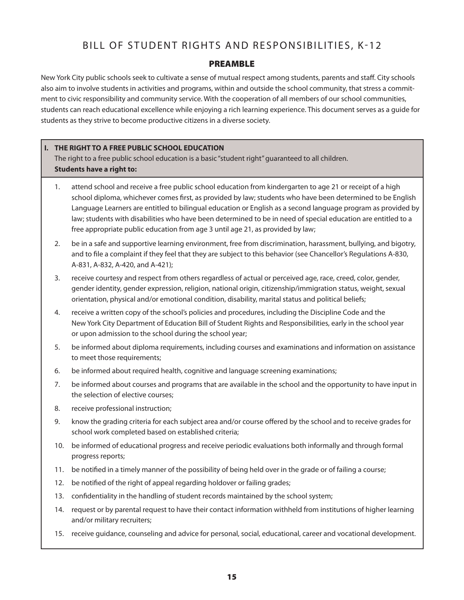## BILL OF STUDENT RIGHTS AND RESPONSIBILITIES, K-12

### PREAMBLE

New York City public schools seek to cultivate a sense of mutual respect among students, parents and staff. City schools also aim to involve students in activities and programs, within and outside the school community, that stress a commitment to civic responsibility and community service. With the cooperation of all members of our school communities, students can reach educational excellence while enjoying a rich learning experience. This document serves as a guide for students as they strive to become productive citizens in a diverse society.

### **I. THE RIGHT TO A FREE PUBLIC SCHOOL EDUCATION**

The right to a free public school education is a basic "student right" guaranteed to all children. **Students have a right to:**

- 1. attend school and receive a free public school education from kindergarten to age 21 or receipt of a high school diploma, whichever comes first, as provided by law; students who have been determined to be English Language Learners are entitled to bilingual education or English as a second language program as provided by law; students with disabilities who have been determined to be in need of special education are entitled to a free appropriate public education from age 3 until age 21, as provided by law;
- 2. be in a safe and supportive learning environment, free from discrimination, harassment, bullying, and bigotry, and to file a complaint if they feel that they are subject to this behavior (see Chancellor's Regulations A-830, A-831, A-832, A-420, and A-421);
- 3. receive courtesy and respect from others regardless of actual or perceived age, race, creed, color, gender, gender identity, gender expression, religion, national origin, citizenship/immigration status, weight, sexual orientation, physical and/or emotional condition, disability, marital status and political beliefs;
- 4. receive a written copy of the school's policies and procedures, including the Discipline Code and the New York City Department of Education Bill of Student Rights and Responsibilities, early in the school year or upon admission to the school during the school year;
- 5. be informed about diploma requirements, including courses and examinations and information on assistance to meet those requirements;
- 6. be informed about required health, cognitive and language screening examinations;
- 7. be informed about courses and programs that are available in the school and the opportunity to have input in the selection of elective courses;
- 8. receive professional instruction;
- 9. know the grading criteria for each subject area and/or course offered by the school and to receive grades for school work completed based on established criteria;
- 10. be informed of educational progress and receive periodic evaluations both informally and through formal progress reports;
- 11. be notified in a timely manner of the possibility of being held over in the grade or of failing a course;
- 12. be notified of the right of appeal regarding holdover or failing grades;
- 13. confidentiality in the handling of student records maintained by the school system;
- 14. request or by parental request to have their contact information withheld from institutions of higher learning and/or military recruiters;
- 15. receive guidance, counseling and advice for personal, social, educational, career and vocational development.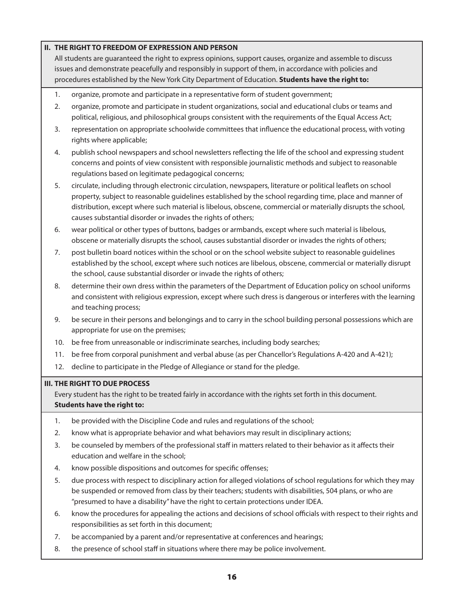### **II. THE RIGHT TO FREEDOM OF EXPRESSION AND PERSON**

All students are guaranteed the right to express opinions, support causes, organize and assemble to discuss issues and demonstrate peacefully and responsibly in support of them, in accordance with policies and procedures established by the New York City Department of Education. **Students have the right to:**

- 1. organize, promote and participate in a representative form of student government;
- 2. organize, promote and participate in student organizations, social and educational clubs or teams and political, religious, and philosophical groups consistent with the requirements of the Equal Access Act;
- 3. representation on appropriate schoolwide committees that influence the educational process, with voting rights where applicable;
- 4. publish school newspapers and school newsletters reflecting the life of the school and expressing student concerns and points of view consistent with responsible journalistic methods and subject to reasonable regulations based on legitimate pedagogical concerns;
- 5. circulate, including through electronic circulation, newspapers, literature or political leaflets on school property, subject to reasonable guidelines established by the school regarding time, place and manner of distribution, except where such material is libelous, obscene, commercial or materially disrupts the school, causes substantial disorder or invades the rights of others;
- 6. wear political or other types of buttons, badges or armbands, except where such material is libelous, obscene or materially disrupts the school, causes substantial disorder or invades the rights of others;
- 7. post bulletin board notices within the school or on the school website subject to reasonable guidelines established by the school, except where such notices are libelous, obscene, commercial or materially disrupt the school, cause substantial disorder or invade the rights of others;
- 8. determine their own dress within the parameters of the Department of Education policy on school uniforms and consistent with religious expression, except where such dress is dangerous or interferes with the learning and teaching process;
- 9. be secure in their persons and belongings and to carry in the school building personal possessions which are appropriate for use on the premises;
- 10. be free from unreasonable or indiscriminate searches, including body searches;
- 11. be free from corporal punishment and verbal abuse (as per Chancellor's Regulations A-420 and A-421);
- 12. decline to participate in the Pledge of Allegiance or stand for the pledge.

#### **III. THE RIGHT TO DUE PROCESS**

Every student has the right to be treated fairly in accordance with the rights set forth in this document. **Students have the right to:**

- 1. be provided with the Discipline Code and rules and regulations of the school;
- 2. know what is appropriate behavior and what behaviors may result in disciplinary actions;
- 3. be counseled by members of the professional staff in matters related to their behavior as it affects their education and welfare in the school;
- 4. know possible dispositions and outcomes for specific offenses;
- 5. due process with respect to disciplinary action for alleged violations of school regulations for which they may be suspended or removed from class by their teachers; students with disabilities, 504 plans, or who are "presumed to have a disability" have the right to certain protections under IDEA.
- 6. know the procedures for appealing the actions and decisions of school officials with respect to their rights and responsibilities as set forth in this document;
- 7. be accompanied by a parent and/or representative at conferences and hearings;
- 8. the presence of school staff in situations where there may be police involvement.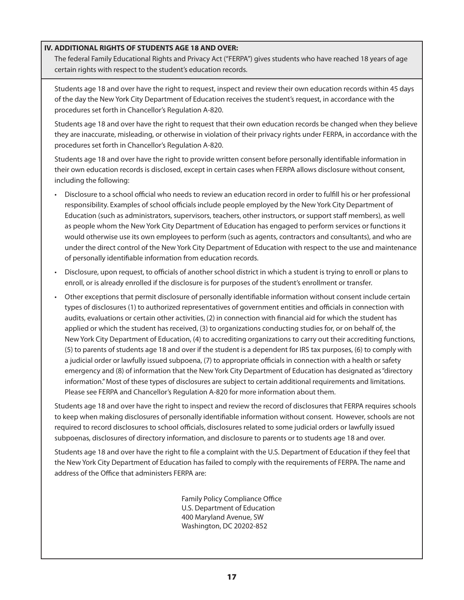### **IV. ADDITIONAL RIGHTS OF STUDENTS AGE 18 AND OVER:**

The federal Family Educational Rights and Privacy Act ("FERPA") gives students who have reached 18 years of age certain rights with respect to the student's education records.

Students age 18 and over have the right to request, inspect and review their own education records within 45 days of the day the New York City Department of Education receives the student's request, in accordance with the procedures set forth in Chancellor's Regulation A-820.

Students age 18 and over have the right to request that their own education records be changed when they believe they are inaccurate, misleading, or otherwise in violation of their privacy rights under FERPA, in accordance with the procedures set forth in Chancellor's Regulation A-820.

Students age 18 and over have the right to provide written consent before personally identifiable information in their own education records is disclosed, except in certain cases when FERPA allows disclosure without consent, including the following:

- • Disclosure to a school official who needs to review an education record in order to fulfill his or her professional responsibility. Examples of school officials include people employed by the New York City Department of Education (such as administrators, supervisors, teachers, other instructors, or support staff members), as well as people whom the New York City Department of Education has engaged to perform services or functions it would otherwise use its own employees to perform (such as agents, contractors and consultants), and who are under the direct control of the New York City Department of Education with respect to the use and maintenance of personally identifiable information from education records.
- • Disclosure, upon request, to officials of another school district in which a student is trying to enroll or plans to enroll, or is already enrolled if the disclosure is for purposes of the student's enrollment or transfer.
- • Other exceptions that permit disclosure of personally identifiable information without consent include certain types of disclosures (1) to authorized representatives of government entities and officials in connection with audits, evaluations or certain other activities, (2) in connection with financial aid for which the student has applied or which the student has received, (3) to organizations conducting studies for, or on behalf of, the New York City Department of Education, (4) to accrediting organizations to carry out their accrediting functions, (5) to parents of students age 18 and over if the student is a dependent for IRS tax purposes, (6) to comply with a judicial order or lawfully issued subpoena, (7) to appropriate officials in connection with a health or safety emergency and (8) of information that the New York City Department of Education has designated as "directory information." Most of these types of disclosures are subject to certain additional requirements and limitations. Please see FERPA and Chancellor's Regulation A-820 for more information about them.

Students age 18 and over have the right to inspect and review the record of disclosures that FERPA requires schools to keep when making disclosures of personally identifiable information without consent. However, schools are not required to record disclosures to school officials, disclosures related to some judicial orders or lawfully issued subpoenas, disclosures of directory information, and disclosure to parents or to students age 18 and over.

Students age 18 and over have the right to file a complaint with the U.S. Department of Education if they feel that the New York City Department of Education has failed to comply with the requirements of FERPA. The name and address of the Office that administers FERPA are:

> Family Policy Compliance Office U.S. Department of Education 400 Maryland Avenue, SW Washington, DC 20202-852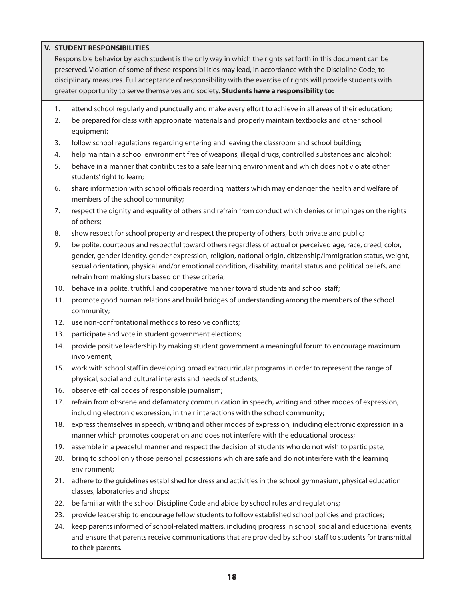### **V. STUDENT RESPONSIBILITIES**

Responsible behavior by each student is the only way in which the rights set forth in this document can be preserved. Violation of some of these responsibilities may lead, in accordance with the Discipline Code, to disciplinary measures. Full acceptance of responsibility with the exercise of rights will provide students with greater opportunity to serve themselves and society. **Students have a responsibility to:**

- 1. attend school regularly and punctually and make every effort to achieve in all areas of their education;
- 2. be prepared for class with appropriate materials and properly maintain textbooks and other school equipment;
- 3. follow school regulations regarding entering and leaving the classroom and school building;
- 4. help maintain a school environment free of weapons, illegal drugs, controlled substances and alcohol;
- 5. behave in a manner that contributes to a safe learning environment and which does not violate other students' right to learn;
- 6. share information with school officials regarding matters which may endanger the health and welfare of members of the school community;
- 7. respect the dignity and equality of others and refrain from conduct which denies or impinges on the rights of others;
- 8. show respect for school property and respect the property of others, both private and public;
- 9. be polite, courteous and respectful toward others regardless of actual or perceived age, race, creed, color, gender, gender identity, gender expression, religion, national origin, citizenship/immigration status, weight, sexual orientation, physical and/or emotional condition, disability, marital status and political beliefs, and refrain from making slurs based on these criteria;
- 10. behave in a polite, truthful and cooperative manner toward students and school staff;
- 11. promote good human relations and build bridges of understanding among the members of the school community;
- 12. use non-confrontational methods to resolve conflicts;
- 13. participate and vote in student government elections;
- 14. provide positive leadership by making student government a meaningful forum to encourage maximum involvement;
- 15. work with school staff in developing broad extracurricular programs in order to represent the range of physical, social and cultural interests and needs of students;
- 16. observe ethical codes of responsible journalism;
- 17. refrain from obscene and defamatory communication in speech, writing and other modes of expression, including electronic expression, in their interactions with the school community;
- 18. express themselves in speech, writing and other modes of expression, including electronic expression in a manner which promotes cooperation and does not interfere with the educational process;
- 19. assemble in a peaceful manner and respect the decision of students who do not wish to participate;
- 20. bring to school only those personal possessions which are safe and do not interfere with the learning environment;
- 21. adhere to the guidelines established for dress and activities in the school gymnasium, physical education classes, laboratories and shops;
- 22. be familiar with the school Discipline Code and abide by school rules and regulations;
- 23. provide leadership to encourage fellow students to follow established school policies and practices;
- 24. keep parents informed of school-related matters, including progress in school, social and educational events, and ensure that parents receive communications that are provided by school staff to students for transmittal to their parents.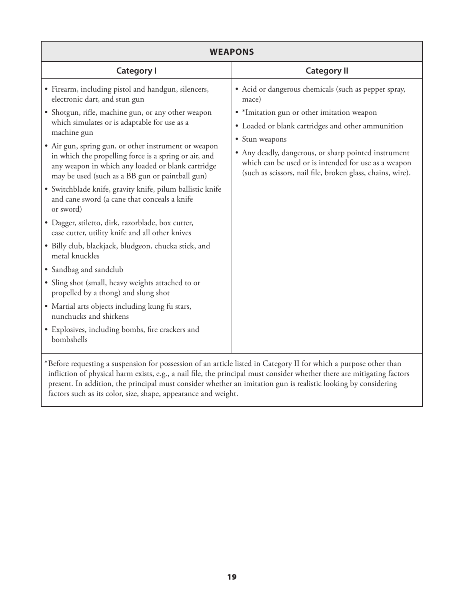| <b>WEAPONS</b>                                                                                                                                                                                                                                                                                                                                                                                                                                                                                                                                                                                                                                                                                                                                                                                                                                                        |                                                                                                                                                                                                                                                                                                                                                                  |  |  |
|-----------------------------------------------------------------------------------------------------------------------------------------------------------------------------------------------------------------------------------------------------------------------------------------------------------------------------------------------------------------------------------------------------------------------------------------------------------------------------------------------------------------------------------------------------------------------------------------------------------------------------------------------------------------------------------------------------------------------------------------------------------------------------------------------------------------------------------------------------------------------|------------------------------------------------------------------------------------------------------------------------------------------------------------------------------------------------------------------------------------------------------------------------------------------------------------------------------------------------------------------|--|--|
| <b>Category I</b>                                                                                                                                                                                                                                                                                                                                                                                                                                                                                                                                                                                                                                                                                                                                                                                                                                                     | <b>Category II</b>                                                                                                                                                                                                                                                                                                                                               |  |  |
| • Firearm, including pistol and handgun, silencers,<br>electronic dart, and stun gun<br>· Shotgun, rifle, machine gun, or any other weapon<br>which simulates or is adaptable for use as a<br>machine gun<br>• Air gun, spring gun, or other instrument or weapon<br>in which the propelling force is a spring or air, and<br>any weapon in which any loaded or blank cartridge<br>may be used (such as a BB gun or paintball gun)<br>· Switchblade knife, gravity knife, pilum ballistic knife<br>and cane sword (a cane that conceals a knife<br>or sword)<br>· Dagger, stiletto, dirk, razorblade, box cutter,<br>case cutter, utility knife and all other knives<br>· Billy club, blackjack, bludgeon, chucka stick, and<br>metal knuckles<br>• Sandbag and sandclub<br>· Sling shot (small, heavy weights attached to or<br>propelled by a thong) and slung shot | • Acid or dangerous chemicals (such as pepper spray,<br>mace)<br>· *Imitation gun or other imitation weapon<br>• Loaded or blank cartridges and other ammunition<br>• Stun weapons<br>• Any deadly, dangerous, or sharp pointed instrument<br>which can be used or is intended for use as a weapon<br>(such as scissors, nail file, broken glass, chains, wire). |  |  |
| • Martial arts objects including kung fu stars,<br>nunchucks and shirkens                                                                                                                                                                                                                                                                                                                                                                                                                                                                                                                                                                                                                                                                                                                                                                                             |                                                                                                                                                                                                                                                                                                                                                                  |  |  |
| • Explosives, including bombs, fire crackers and<br>bombshells                                                                                                                                                                                                                                                                                                                                                                                                                                                                                                                                                                                                                                                                                                                                                                                                        |                                                                                                                                                                                                                                                                                                                                                                  |  |  |
| *Before requesting a suspension for possession of an article listed in Category II for which a purpose other than                                                                                                                                                                                                                                                                                                                                                                                                                                                                                                                                                                                                                                                                                                                                                     |                                                                                                                                                                                                                                                                                                                                                                  |  |  |

 $^\ast$ Before requesting a suspension for possession of an article listed in Category II for which a purpose other than infliction of physical harm exists, e.g., a nail file, the principal must consider whether there are mitigating factors present. In addition, the principal must consider whether an imitation gun is realistic looking by considering factors such as its color, size, shape, appearance and weight.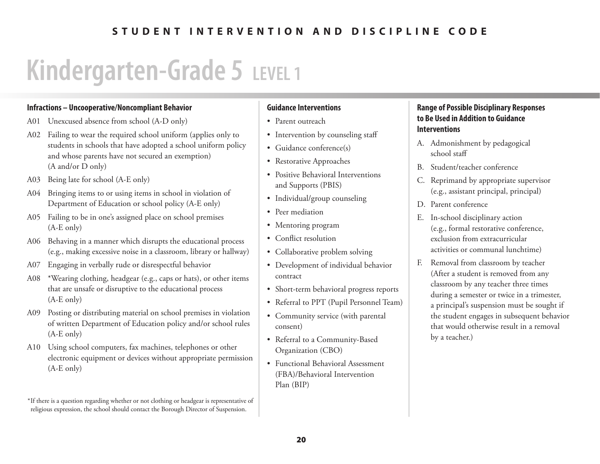## **STUDENT INTERVENTION AND DISCIPLINE CODE**

# **Kindergarten-Grade 5 LEVEL 1**

### **Infractions – Uncooperative/Noncompliant Behavior**

- A01 Unexcused absence from school (A-D only)
- A02 Failing to wear the required school uniform (applies only to students in schools that have adopted a school uniform policy and whose parents have not secured an exemption) (A and/or D only)
- A03 Being late for school (A-E only)
- A04 Bringing items to or using items in school in violation of Department of Education or school policy (A-E only)
- A05 Failing to be in one's assigned place on school premises (A-E only)
- A06 Behaving in <sup>a</sup> manner which disrupts the educational process (e.g., making excessive noise in a classroom, library or hallway)
- A07 Engaging in verbally rude or disrespectful behavior
- A08 \*Wearing clothing, headgear (e.g., caps or hats), or other items that are unsafe or disruptive to the educational process (A-E only)
- A09 Posting or distributing material on school premises in violation of written Department of Education policy and/or school rules (A-E only)
- A10 Using school computers, fax machines, telephones or other electronic equipment or devices without appropriate permission (A-E only)

### **Guidance Interventions**

- Parent outreach
- Intervention by counseling staff
- Guidance conference(s)
- Restorative Approaches
- Positive Behavioral Interventions and Supports (PBIS)
- Individual/group counseling
- Peer mediation
- Mentoring program
- Conflict resolution
- Collaborative problem solving
- • Development of individual behavior contract
- Short-term behavioral progress reports
- • Referral to PPT (Pupil Personnel Team)
- Community service (with parental consent)
- • Referral to <sup>a</sup> Community-Based Organization (CBO)
- Functional Behavioral Assessment (FBA)/Behavioral Intervention Plan (BIP)

- A. Admonishment by pedagogical school staff
- B. Student/teacher conference
- C. Reprimand by appropriate supervisor (e.g., assistant principal, principal)
- D. Parent conference
- E. In-school disciplinary action (e.g., formal restorative conference, exclusion from extracurricular activities or communal lunchtime)
- F. Removal from classroom by teacher (After a student is removed from any classroom by any teacher three times during a semester or twice in a trimester, a principal's suspension must be sought if the student engages in subsequent behavior that would otherwise result in a removal by a teacher.)

 $^{\ast}$ If there is a question regarding whether or not clothing or headgear is representative of religious expression, the school should contact the Borough Director of Suspension.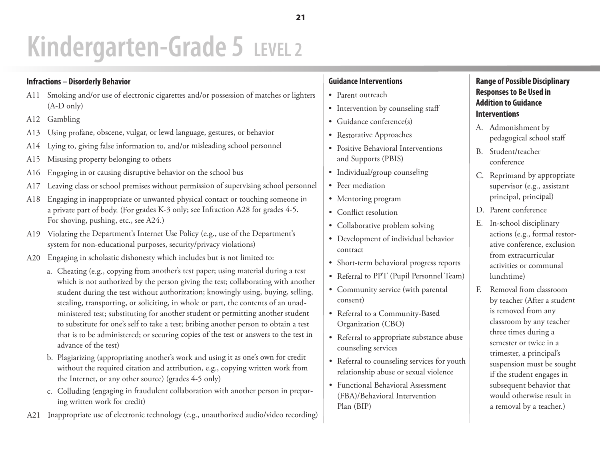### **Infractions – Disorderly Behavior**

- A11 Smoking and/or use of electronic cigarettes and/or possession of matches or lighters (A-D only)
- A12 Gambling
- A13 Using profane, obscene, vulgar, or lewd language, gestures, or behavior
- A14Lying to, giving false information to, and/or misleading school personnel
- A15 Misusing property belonging to others
- A16 Engaging in or causing disruptive behavior on the school bus
- A17 Leaving class or school premises without permission of supervising school personnel
- A18 Engaging in inappropriate or unwanted physical contact or touching someone in a private part of body. (For grades K-3 only; see Infraction A28 for grades 4-5. For shoving, pushing, etc., see A24.)
- A19 Violating the Department's Internet Use Policy (e.g., use of the Department's system for non-educational purposes, security/privacy violations)
- A20 Engaging in scholastic dishonesty which includes but is not limited to:
	- a. Cheating (e.g., copying from another's test paper; using material during a test which is not authorized by the person <sup>g</sup>iving the test; collaborating with another student during the test without authorization; knowingly using, buying, selling, stealing, transporting, or soliciting, in whole or part, the contents of an unadministered test; substituting for another student or permitting another student to substitute for one's self to take a test; bribing another person to obtain a test that is to be administered; or securing copies of the test or answers to the test in advance of the test)
	- b. Plagiarizing (appropriating another's work and using it as one's own for credit without the required citation and attribution, e.g., copying written work from the Internet, or any other source) (grades 4-5 only)
	- c. Colluding (engaging in fraudulent collaboration with another person in preparing written work for credit)
- A21 Inappropriate use of electronic technology (e.g., unauthorized audio/video recording)

## **Guidance Interventions**

- Parent outreach
- Intervention by counseling staff
- Guidance conference(s)
- • Restorative Approaches
- Positive Behavioral Interventions and Supports (PBIS)
- Individual/group counseling
- Peer mediation
- • Mentoring program
- Conflict resolution
- Collaborative problem solving
- • Development of individual behavior contract
- • Short-term behavioral progress reports
- • Referral to PPT (Pupil Personnel Team)
- • Community service (with parental consent)
- • Referral to <sup>a</sup> Community-Based Organization (CBO)
- Referral to appropriate substance abuse counseling services
- Referral to counseling services for youth relationship abuse or sexual violence
- Functional Behavioral Assessment (FBA)/Behavioral Intervention Plan (BIP)

- A. Admonishment by pedagogical school staff
- B. Student/teacher conference
- C. Reprimand by appropriate supervisor (e.g., assistant principal, principal)
- D. Parent conference
- E. In-school disciplinary actions (e.g., formal restorative conference, exclusion from extracurricular activities or communal lunchtime)
- F. Removal from classroom by teacher (After a student is removed from any classroom by any teacher three times during a semester or twice in a trimester, a principal's suspension must be sought if the student engages in subsequent behavior that would otherwise result in a removal by a teacher.)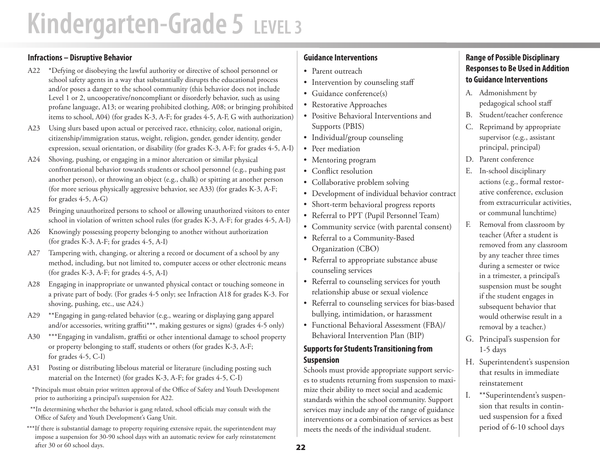### **Infractions – Disruptive Behavior**

- A22 \*Defying or disobeying the lawful authority or directive of school personnel or school safety agents in a way that substantially disrupts the educational process and/or poses a danger to the school community (this behavior does not include Level 1 or 2, uncooperative/noncompliant or disorderly behavior, such as using profane language, A13; or wearing prohibited clothing, A08; or bringing prohibited items to school, A04) (for grades K-3, A-F; for grades 4-5, A-F, G with authorization)
- A23 Using slurs based upon actual or perceived race, ethnicity, color, national origin, citizenship/immigration status, weight, religion, gender, gender identity, gender expression, sexual orientation, or disability (for grades K-3, A-F; for grades 4-5, A-I)
- A24 Shoving, pushing, or engaging in a minor altercation or similar physical confrontational behavior towards students or school personnel (e.g., pushing past another person), or throwing an object (e.g., chalk) or spitting at another person (for more serious physically aggressive behavior, see A33) (for grades K-3, A-F; for grades 4-5, A-G)
- A25 Bringing unauthorized persons to school or allowing unauthorized visitors to enter school in violation of written school rules (for grades K-3, A-F; for grades 4-5, A-I)
- A26 Knowingly possessing property belonging to another without authorization (for grades K-3, A-F; for grades 4-5, A-I)
- A27 Tampering with, changing, or altering a record or document of a school by any method, including, but not limited to, computer access or other electronic means (for grades K-3, A-F; for grades 4-5, A-I)
- A28 Engaging in inappropriate or unwanted physical contact or touching someone in a private part of body. (For grades 4-5 only; see Infraction A18 for grades K-3. For shoving, pushing, etc., use A24.)
- A29 \*\*Engaging in gang-related behavior (e.g., wearing or displaying gang apparel and/or accessories, writing graffiti\*\*\*, making gestures or signs) (grades 4-5 only)
- A30 \*\*\*Engaging in vandalism, graffiti or other intentional damage to school property or property belonging to staff, students or others (for grades K-3, A-F; for grades 4-5, C-I)
- A31 Posting or distributing libelous material or literature (including posting such material on the Internet) (for grades K-3, A-F; for grades 4-5, C-I)
- \* Principals must obtain prior written approval of the Office of Safety and Youth Development prior to authorizing <sup>a</sup> principal's suspension for A22.
- \*\*In determining whether the behavior is gang related, school officials may consult with the Office of Safety and Youth Development's Gang Unit.
- \*\*\*If there is substantial damage to property requiring extensive repair, the superintendent may impose <sup>a</sup> suspension for 30-90 school days with an automatic review for early reinstatement after 30 or 60 school days.

## **Guidance Interventions**

- • Parent outreach
- • Intervention by counseling staff
- • Guidance conference(s)
- • Restorative Approaches
- • Positive Behavioral Interventions and Supports (PBIS)
- • Individual/group counseling
- • Peer mediation
- • Mentoring program
- • Conflict resolution
- • Collaborative problem solving
- • Development of individual behavior contract
- • Short-term behavioral progress reports
- • Referral to PPT (Pupil Personnel Team)
- • Community service (with parental consent)
- • Referral to <sup>a</sup> Community-Based Organization (CBO)
- • Referral to appropriate substance abuse counseling services
- • Referral to counseling services for youth relationship abuse or sexual violence
- • Referral to counseling services for bias-based bullying, intimidation, or harassment
- • Functional Behavioral Assessment (FBA)/ Behavioral Intervention Plan (BIP)

### **Supports for Students Transitioning from Suspension**

Schools must provide appropriate support services to students returning from suspension to maximize their ability to meet social and academic standards within the school community. Support services may include any of the range of guidance interventions or a combination of services as best meets the needs of the individual student.

- A. Admonishment by pedagogical school staff
- B. Student/teacher conference
- C. Reprimand by appropriate supervisor (e.g., assistant principal, principal)
- D. Parent conference
- E. In-school disciplinary actions (e.g., formal restorative conference, exclusion from extracurricular activities, or communal lunchtime)
- F. Removal from classroom by teacher (After a student is removed from any classroom by any teacher three times during a semester or twice in a trimester, a principal's suspension must be sought if the student engages in subsequent behavior that would otherwise result in a removal by a teacher.)
- G. Principal's suspension for 1-5 days
- H. Superintendent's suspension that results in immediate reinstatement
- I. \*\*Superintendent's suspension that results in continued suspension for a fixed period of 6-10 school days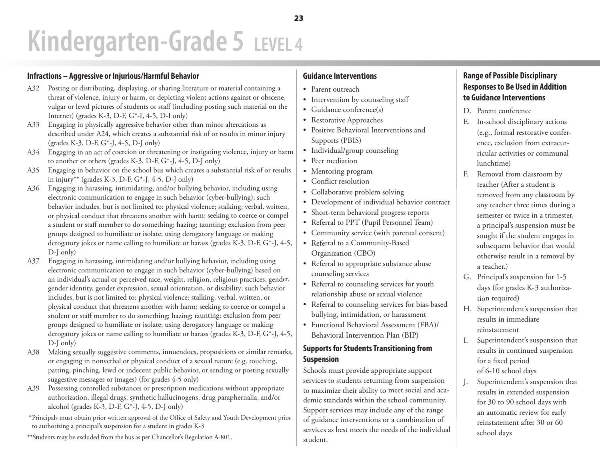### **Infractions – Aggressive or Injurious/Harmful Behavior**

- A32 Posting or distributing, displaying, or sharing literature or material containing a threat of violence, injury or harm, or depicting violent actions against or obscene, vulgar or lewd pictures of students or staff (including posting such material on the Internet) (grades K-3, D-F, G\*-I, 4-5, D-I only)
- A33 Engaging in physically aggressive behavior other than minor altercations as described under A24, which creates a substantial risk of or results in minor injury (grades K-3, D-F, G\*-J, 4-5, D-J only)
- A34 Engaging in an act of coercion or threatening or instigating violence, injury or harm to another or others (grades K-3, D-F, G\*-J, 4-5, D-J only)
- A35 Engaging in behavior on the school bus which creates a substantial risk of or results in injury\*\* (grades K-3, D-F, G\*-J, 4-5, D-J only)
- A36 Engaging in harassing, intimidating, and/or bullying behavior, including using electronic communication to engage in such behavior (cyber-bullying); such behavior includes, but is not limited to: physical violence; stalking; verbal, written, or physical conduct that threatens another with harm; seeking to coerce or compel a student or staff member to do something; hazing; taunting; exclusion from peer groups designed to humiliate or isolate; using derogatory language or making derogatory jokes or name calling to humiliate or harass (grades K-3, D-F, G\*-J, 4-5, D-J only)
- A37 Engaging in harassing, intimidating and/or bullying behavior, including using electronic communication to engage in such behavior (cyber-bullying) based on an individual's actual or perceived race, weight, religion, religious practices, gender, gender identity, gender expression, sexual orientation, or disability; such behavior includes, but is not limited to: physical violence; stalking; verbal, written, or <sup>p</sup>hysical conduct that threatens another with harm; seeking to coerce or compel a student or staff member to do something; hazing; taunting; exclusion from peer groups designed to humiliate or isolate; using derogatory language or making derogatory jokes or name calling to humiliate or harass (grades K-3, D-F, G\*-J, 4-5, D-J only)
- A38 Making sexually suggestive comments, innuendoes, propositions or similar remarks, or engaging in nonverbal or physical conduct of a sexual nature (e.g. touching, patting, pinching, lewd or indecent public behavior, or sending or posting sexually suggestive messages or images) (for grades 4-5 only)
- A39 Possessing controlled substances or prescription medications without appropriate authorization, illegal drugs, synthetic hallucinogens, drug paraphernalia, and/or alcohol (grades K-3, D-F, G\*-J, 4-5, D-J only)
- \* Principals must obtain prior written approval of the Office of Safety and Youth Development prior to authorizing <sup>a</sup> principal's suspension for <sup>a</sup> student in grades K-3
- \*\*Students may be excluded from the bus as per Chancellor's Regulation A-801.

### **Guidance Interventions**

- Parent outreach
- Intervention by counseling staff
- Guidance conference(s)
- • Restorative Approaches
- • Positive Behavioral Interventions and Supports (PBIS)
- Individual/group counseling
- Peer mediation
- Mentoring program
- Conflict resolution
- Collaborative problem solving
- • Development of individual behavior contract
- • Short-term behavioral progress reports
- • Referral to PPT (Pupil Personnel Team)
- • Community service (with parental consent)
- • Referral to <sup>a</sup> Community-Based Organization (CBO)
- Referral to appropriate substance abuse counseling services
- Referral to counseling services for youth relationship abuse or sexual violence
- Referral to counseling services for bias-based bullying, intimidation, or harassment
- • Functional Behavioral Assessment (FBA)/ Behavioral Intervention Plan (BIP)

### **Supports for Students Transitioning from Suspension**

Schools must provide appropriate support services to students returning from suspension to maximize their ability to meet social and academic standards within the school community. Support services may include any of the range of guidance interventions or a combination of services as best meets the needs of the individual student.

- D. Parent conference
- E. In-school disciplinary actions (e.g., formal restorative conference, exclusion from extracurricular activities or communal lunchtime)
- F. Removal from classroom by teacher (After a student is removed from any classroom by any teacher three times during a semester or twice in a trimester, a principal's suspension must be sought if the student engages in subsequent behavior that would otherwise result in a removal by a teacher.)
- G. Principal's suspension for 1-5 days (for grades K-3 authorization required)
- H. Superintendent's suspension that results in immediate reinstatement
- I. Superintendent's suspension that results in continued suspension for a fixed period of 6-10 school days
- J. Superintendent's suspension that results in extended suspension for 30 to 90 school days with an automatic review for early reinstatement after 30 or 60 school days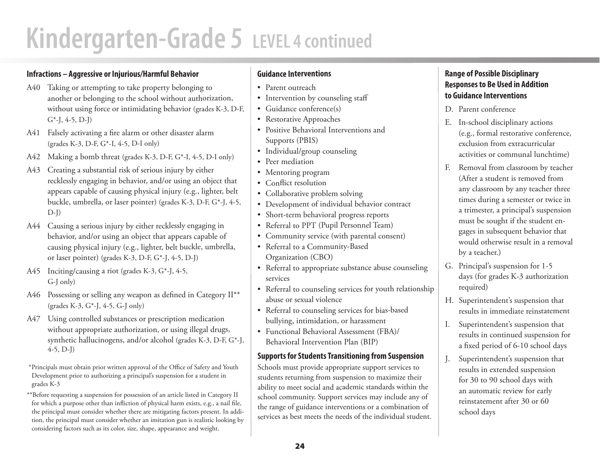# **Kindergarten-Grade 5 LEVEL 4 continued**

### **Infractions – Aggressive or Injurious/Harmful Behavior**

- A40 Taking or attempting to take property belonging to another or belonging to the school without authorization, without using force or intimidating behavior (grades K-3, D-F,  $G^*$ -J, 4-5, D-J)
- A41 Falsely activating a fire alarm or other disaster alarm (grades K-3, D-F, G\*-I, 4-5, D-I only)
- A42Making a bomb threat (grades K-3, D-F, G\*-I, 4-5, D-I only)
- A43 Creating a substantial risk of serious injury by either recklessly engaging in behavior, and/or using an object that appears capable of causing physical injury (e.g., lighter, belt buckle, umbrella, or laser pointer) (grades K-3, D-F, G\*-J, 4-5,  $D-J$ )
- A44 Causing a serious injury by either recklessly engaging in behavior, and/or using an object that appears capable of causing physical injury (e.g., lighter, belt buckle, umbrella, or laser pointer) (grades K-3, D-F, G\*-J, 4-5, D-J)
- A45 Inciting/causing a riot (grades K-3, G\*-J, 4-5, G-J only)
- A46 Possessing or selling any weapon as defined in Category II\*\* (grades K-3, G\*-J, 4-5, G-J only)
- A47 Using controlled substances or prescription medication without appropriate authorization, or using illegal drugs, synthetic hallucinogens, and/or alcohol (grades K-3, D-F, G\*-J, 4-5, D-J)
- \* Principals must obtain prior written approval of the Office of Safety and Youth Development prior to authorizing <sup>a</sup> principal's suspension for <sup>a</sup> student in grades K-3
- \*\*Before requesting <sup>a</sup> suspension for possession of an article listed in Category II for which a purpose other than infliction of physical harm exists, e.g., a nail file, the principal must consider whether there are mitigating factors present. In addition, the principal must consider whether an imitation gun is realistic looking by considering factors such as its color, size, shape, appearance and weight.

### **Guidance Interventions**

- Parent outreach
- Intervention by counseling staff
- Guidance conference(s)
- Restorative Approaches
- • Positive Behavioral Interventions and Supports (PBIS)
- Individual/group counseling
- Peer mediation
- Mentoring program
- Conflict resolution
- Collaborative problem solving
- • Development of individual behavior contract
- Short-term behavioral progress reports
- • Referral to PPT (Pupil Personnel Team)
- • Community service (with parental consent)
- • Referral to <sup>a</sup> Community-Based Organization (CBO)
- Referral to appropriate substance abuse counseling services
- Referral to counseling services for youth relationship abuse or sexual violence
- Referral to counseling services for bias-based bullying, intimidation, or harassment
- • Functional Behavioral Assessment (FBA)/ Behavioral Intervention Plan (BIP)

### **Supports for Students Transitioning from Suspension**

Schools must provide appropriate support services to students returning from suspension to maximize their ability to meet social and academic standards within the school community. Support services may include any of the range of guidance interventions or a combination of services as best meets the needs of the individual student.

- D. Parent conference
- E. In-school disciplinary actions (e.g., formal restorative conference, exclusion from extracurricular activities or communal lunchtime)
- F. Removal from classroom by teacher (After a student is removed from any classroom by any teacher three times during a semester or twice in a trimester, a principal's suspension must be sought if the student engages in subsequent behavior that would otherwise result in a removal by a teacher.)
- G. Principal's suspension for 1-5 days (for grades K-3 authorization required)
- H. Superintendent's suspension that results in immediate reinstatement
- I. Superintendent's suspension that results in continued suspension for a fixed period of 6-10 school days
- J. Superintendent's suspension that results in extended suspension for 30 to 90 school days with an automatic review for early reinstatement after 30 or 60 school days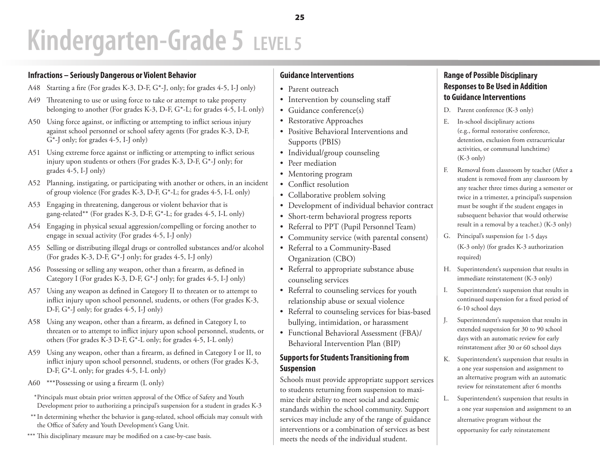### **Infractions – Seriously Dangerous or Violent Behavior**

- A48 Starting <sup>a</sup> fire (For grades K-3, D-F, G\*-J, only; for grades 4-5, I-J only)
- A49 Threatening to use or using force to take or attempt to take property belonging to another (For grades K-3, D-F, G\*-L; for grades 4-5, I-L only)
- A50 Using force against, or inflicting or attempting to inflict serious injury against school personnel or school safety agents (For grades K-3, D-F, G\*-J only; for grades 4-5, I-J only)
- A51 Using extreme force against or inflicting or attempting to inflict serious injury upon students or others (For grades K-3, D-F, G\*-J only; for grades 4-5, I-J only)
- A52 Planning, instigating, or participating with another or others, in an incident of group violence (For grades K-3, D-F, G\*-L; for grades 4-5, I-L only)
- A53 Engaging in threatening, dangerous or violent behavior that is gang-related\*\* (For grades K-3, D-F, G\*-L; for grades 4-5, I-L only)
- A54 Engaging in physical sexual aggression/compelling or forcing another to engage in sexual activity (For grades 4-5, I-J only)
- A55 Selling or distributing illegal drugs or controlled substances and/or alcohol (For grades K-3, D-F, G\*-J only; for grades 4-5, I-J only)
- A56 Possessing or selling any weapon, other than <sup>a</sup> firearm, as defined in Category <sup>I</sup> (For grades K-3, D-F, G\*-J only; for grades 4-5, I-J only)
- A57 Using any weapon as defined in Category II to threaten or to attempt to inflict injury upon school personnel, students, or others (For grades K-3, D-F, G\*-J only; for grades 4-5, I-J only)
- A58 Using any weapon, other than a firearm, as defined in Category I, to threaten or to attempt to inflict injury upon school personnel, students, or others (For grades K-3 D-F, G\*-L only; for grades 4-5, I-L only)
- A59 Using any weapon, other than <sup>a</sup> firearm, as defined in Category <sup>I</sup> or II, to inflict injury upon school personnel, students, or others (For grades K-3, D-F, G\*-L only; for grades 4-5, I-L only)
- A60  $***$ Possessing or using a firearm (L only)
- \* Principals must obtain prior written approval of the Office of Safety and Youth Development prior to authorizing <sup>a</sup> principal's suspension for <sup>a</sup> student in grades K-3
- $^{**}$  In determining whether the behavior is gang-related, school officials may consult with the Office of Safety and Youth Development's Gang Unit.
- \*\*\* This disciplinary measure may be modified on a case-by-case basis.

### **Guidance Interventions**

- • Parent outreach
- • Intervention by counseling staff
- • Guidance conference(s)
- • Restorative Approaches
- • Positive Behavioral Interventions and Supports (PBIS)
- • Individual/group counseling
- • Peer mediation
- • Mentoring program
- • Conflict resolution
- • Collaborative problem solving
- • Development of individual behavior contract
- • Short-term behavioral progress reports
- • Referral to PPT (Pupil Personnel Team)
- • Community service (with parental consent)
- • Referral to <sup>a</sup> Community-Based Organization (CBO)
- • Referral to appropriate substance abuse counseling services
- • Referral to counseling services for youth relationship abuse or sexual violence
- • Referral to counseling services for bias-based bullying, intimidation, or harassment
- • Functional Behavioral Assessment (FBA)/ Behavioral Intervention Plan (BIP)

### **Supports for Students Transitioning from Suspension**

Schools must provide appropriate support services to students returning from suspension to maximize their ability to meet social and academic standards within the school community. Support services may include any of the range of guidance interventions or a combination of services as best meets the needs of the individual student.

- D. Parent conference (K-3 only)
- E. In-school disciplinary actions (e.g., formal restorative conference, detention, exclusion from extracurricular activities, or communal lunchtime) (K-3 only)
- F. Removal from classroom by teacher (After a student is removed from any classroom by any teacher three times during a semester or twice in a trimester, a principal's suspension must be sought if the student engages in subsequent behavior that would otherwise result in a removal by a teacher.) (K-3 only)
- G. Principal's suspension for 1-5 days (K-3 only) (for grades K-3 authorization required)
- H. Superintendent's suspension that results in immediate reinstatement (K-3 only)
- I. Superintendent's suspension that results in continued suspension for a fixed period of 6-10 school days
- J. Superintendent's suspension that results in extended suspension for 30 to 90 school days with an automatic review for early reinstatement after 30 or 60 school days
- K. Superintendent's suspension that results in a one year suspension and assignment to an alternative program with an automatic review for reinstatement after 6 months
- L. Superintendent's suspension that results in a one year suspension and assignment to an alternative program without the opportunity for early reinstatement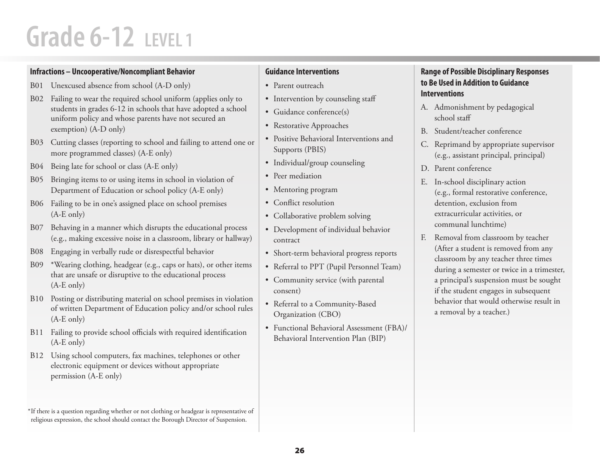### **Infractions – Uncooperative/Noncompliant Behavior**

- B01 Unexcused absence from school (A-D only)
- B02 Failing to wear the required school uniform (applies only to students in grades 6-12 in schools that have adopted <sup>a</sup> school uniform policy and whose parents have not secured an exemption) (A-D only)
- B03 Cutting classes (reporting to school and failing to attend one or more programmed classes) (A-E only)
- B04 Being late for school or class (A-E only)
- B05 Bringing items to or using items in school in violation of Department of Education or school policy (A-E only)
- B06 Failing to be in one's assigned place on school premises (A-E only)
- B07 Behaving in a manner which disrupts the educational process (e.g., making excessive noise in a classroom, library or hallway)
- B08Engaging in verbally rude or disrespectful behavior
- B09 \*Wearing clothing, headgear (e.g., caps or hats), or other items that are unsafe or disruptive to the educational process (A-E only)
- B10 Posting or distributing material on school premises in violation of written Department of Education policy and/or school rules (A-E only)
- B11 Failing to provide school officials with required identification (A-E only)
- B12 Using school computers, fax machines, telephones or other electronic equipment or devices without appropriate permission (A-E only)

 $^{\ast}$ If there is a question regarding whether or not clothing or headgear is representative of religious expression, the school should contact the Borough Director of Suspension.

### **Guidance Interventions**

- Parent outreach
- Intervention by counseling staff
- Guidance conference(s)
- Restorative Approaches
- • Positive Behavioral Interventions and Supports (PBIS)
- Individual/group counseling
- Peer mediation
- Mentoring program
- Conflict resolution
- Collaborative problem solving
- • Development of individual behavior contract
- Short-term behavioral progress reports
- • Referral to PPT (Pupil Personnel Team)
- Community service (with parental consent)
- Referral to a Community-Based Organization (CBO)
- • Functional Behavioral Assessment (FBA)/ Behavioral Intervention Plan (BIP)

- A. Admonishment by pedagogical school staff
- B. Student/teacher conference
- C. Reprimand by appropriate supervisor (e.g., assistant principal, principal)
- D. Parent conference
- E. In-school disciplinary action (e.g., formal restorative conference, detention, exclusion from extracurricular activities, or communal lunchtime)
- F. Removal from classroom by teacher (After a student is removed from any classroom by any teacher three times during a semester or twice in a trimester, a principal's suspension must be sought if the student engages in subsequent behavior that would otherwise result in a removal by a teacher.)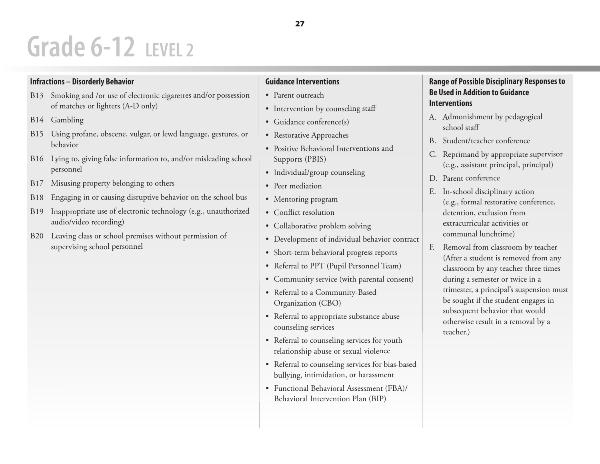### **Infractions – Disorderly Behavior**

- B13 Smoking and /or use of electronic cigarettes and/or possession of matches or lighters (A-D only)
- B14 Gambling
- B15 Using profane, obscene, vulgar, or lewd language, gestures, or behavior
- B16 Lying to, giving false information to, and/or misleading school personnel
- B17 Misusing property belonging to others
- B18Engaging in or causing disruptive behavior on the school bus
- B19 Inappropriate use of electronic technology (e.g., unauthorized audio/video recording)
- B20 Leaving class or school premises without permission of supervising school personnel

## **Guidance Interventions**

- Parent outreach
- Intervention by counseling staff
- Guidance conference(s)
- • Restorative Approaches
- Positive Behavioral Interventions and Supports (PBIS)
- Individual/group counseling
- Peer mediation
- Mentoring program
- Conflict resolution
- Collaborative problem solving
- • Development of individual behavior contract
- • Short-term behavioral progress reports
- • Referral to PPT (Pupil Personnel Team)
- • Community service (with parental consent)
- • Referral to <sup>a</sup> Community-Based Organization (CBO)
- Referral to appropriate substance abuse counseling services
- Referral to counseling services for youth relationship abuse or sexual violence
- • Referral to counseling services for bias-based bullying, intimidation, or harassment
- Functional Behavioral Assessment (FBA)/ Behavioral Intervention Plan (BIP)

- A. Admonishment by pedagogical school staff
- B. Student/teacher conference
- C. Reprimand by appropriate supervisor (e.g., assistant principal, principal)
- D. Parent conference
- E. In-school disciplinary action (e.g., formal restorative conference, detention, exclusion from extracurricular activities or communal lunchtime)
- F. Removal from classroom by teacher (After a student is removed from any classroom by any teacher three times during a semester or twice in a trimester, a principal's suspension must be sought if the student engages in subsequent behavior that would otherwise result in a removal by a teacher.)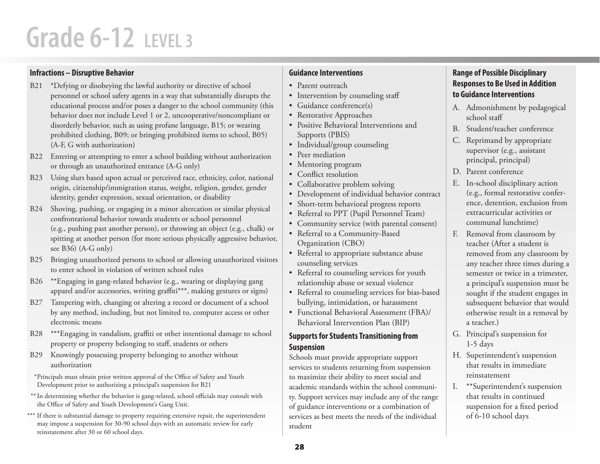### **Infractions – Disruptive Behavior**

- B21 \*Defying or disobeying the lawful authority or directive of school personnel or school safety agents in a way that substantially disrupts the educational process and/or poses a danger to the school community (this behavior does not include Level 1 or 2, uncooperative/noncompliant or disorderly behavior, such as using profane language, B15; or wearing prohibited clothing, B09; or bringing prohibited items to school, B05) (A-F, G with authorization)
- B22 Entering or attempting to enter a school building without authorization or through an unauthorized entrance (A-G only)
- B23 Using slurs based upon actual or perceived race, ethnicity, color, national origin, citizenship/immigration status, weight, religion, gender, gender identity, gender expression, sexual orientation, or disability
- B24 Shoving, pushing, or engaging in a minor altercation or similar physical confrontational behavior towards students or school personnel (e.g., pushing past another person), or throwing an object (e.g., chalk) or spitting at another person (for more serious physically aggressive behavior, see B36) (A-G only)
- B25 Bringing unauthorized persons to school or allowing unauthorized visitors to enter school in violation of written school rules
- B26 \*\*Engaging in gang-related behavior (e.g., wearing or displaying gang apparel and/or accessories, writing graffiti\*\*\*, making gestures or signs)
- B27 Tampering with, changing or altering a record or document of a school by any method, including, but not limited to, computer access or other electronic means
- B28 \*\*\*Engaging in vandalism, graffiti or other intentional damage to school property or property belonging to staff, students or others
- B29 Knowingly possessing property belonging to another without authorization

\* Principals must obtain prior written approval of the Office of Safety and Youth Development prior to authorizing <sup>a</sup> principal's suspension for B21

- $^{**}$  In determining whether the behavior is gang-related, school officials may consult with the Office of Safety and Youth Development's Gang Unit.
- $^{\ast\ast\ast}$  If there is substantial damage to property requiring extensive repair, the superintendent may impose <sup>a</sup> suspension for 30-90 school days with an automatic review for early reinstatement after 30 or 60 school days.

### **Guidance Interventions**

- Parent outreach
- Intervention by counseling staff
- Guidance conference(s)
- Restorative Approaches
- • Positive Behavioral Interventions and Supports (PBIS)
- Individual/group counseling
- Peer mediation
- Mentoring program
- Conflict resolution
- Collaborative problem solving
- • Development of individual behavior contract
- Short-term behavioral progress reports
- Referral to PPT (Pupil Personnel Team)
- Community service (with parental consent)
- • Referral to <sup>a</sup> Community-Based Organization (CBO)
- Referral to appropriate substance abuse counseling services
- Referral to counseling services for youth relationship abuse or sexual violence
- Referral to counseling services for bias-based bullying, intimidation, or harassment
- Functional Behavioral Assessment (FBA)/ Behavioral Intervention Plan (BIP)

### **Supports for Students Transitioning from Suspension**

Schools must provide appropriate support services to students returning from suspension to maximize their ability to meet social and academic standards within the school community. Support services may include any of the range of guidance interventions or a combination of services as best meets the needs of the individual student

- A. Admonishment by pedagogical school staff
- B. Student/teacher conference
- C. Reprimand by appropriate supervisor (e.g., assistant principal, principal)
- D. Parent conference
- E. In-school disciplinary action (e.g., formal restorative conference, detention, exclusion from extracurricular activities or communal lunchtime)
- F. Removal from classroom by teacher (After a student is removed from any classroom by any teacher three times during a semester or twice in a trimester, a principal's suspension must be sought if the student engages in subsequent behavior that would otherwise result in a removal by a teacher.)
- G. Principal's suspension for 1-5 days
- H. Superintendent's suspension that results in immediate reinstatement
- I. \*\*Superintendent's suspension that results in continued suspension for a fixed period of 6-10 school days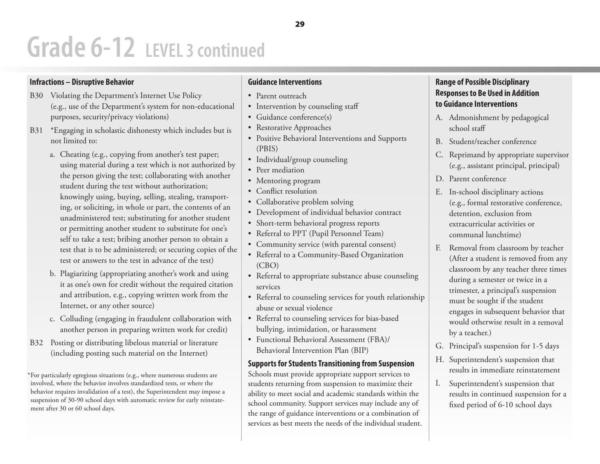## **Grade 6-12 LEVEL 3 continued**

### **Infractions – Disruptive Behavior**

- B30 Violating the Department's Internet Use Policy (e.g., use of the Department's system for non-educational purposes, security/privacy violations)
- B31 \*Engaging in scholastic dishonesty which includes but is not limited to:
	- a. Cheating (e.g., copying from another's test paper; using material during <sup>a</sup> test which is not authorized by the person giving the test; collaborating with another student during the test without authorization; knowingly using, buying, selling, stealing, transporting, or soliciting, in whole or part, the contents of an unadministered test; substituting for another student or permitting another student to substitute for one's self to take a test; bribing another person to obtain a test that is to be administered; or securing copies of the test or answers to the test in advance of the test)
	- b. Plagiarizing (appropriating another's work and using it as one's own for credit without the required citation and attribution, e.g., copying written work from the Internet, or any other source)
	- c. Colluding (engaging in fraudulent collaboration with another person in preparing written work for credit)
- B32 Posting or distributing libelous material or literature (including posting such material on the Internet)

 $^\ast$ For particularly egregious situations (e.g., where numerous students are involved, where the behavior involves standardized tests, or where the behavior requires invalidation of <sup>a</sup> test), the Superintendent may impose <sup>a</sup> suspension of 30-90 school days with automatic review for early reinstatement after 30 or 60 school days.

## **Guidance Interventions**

- • Parent outreach
- • Intervention by counseling staff
- • Guidance conference(s)
- • Restorative Approaches
- • Positive Behavioral Interventions and Supports (PBIS)
- • Individual/group counseling
- Peer mediation
- • Mentoring program
- • Conflict resolution
- • Collaborative problem solving
- • Development of individual behavior contract
- • Short-term behavioral progress reports
- • Referral to PPT (Pupil Personnel Team)
- • Community service (with parental consent)
- • Referral to <sup>a</sup> Community-Based Organization (CBO)
- • Referral to appropriate substance abuse counseling services
- • Referral to counseling services for youth relationship abuse or sexual violence
- • Referral to counseling services for bias-based bullying, intimidation, or harassment
- • Functional Behavioral Assessment (FBA)/ Behavioral Intervention Plan (BIP)

### **Supports for Students Transitioning from Suspension**

Schools must provide appropriate support services to students returning from suspension to maximize their ability to meet social and academic standards within the school community. Support services may include any of the range of guidance interventions or a combination of services as best meets the needs of the individual student.

- A. Admonishment by pedagogical school staff
- B. Student/teacher conference
- C. Reprimand by appropriate supervisor (e.g., assistant principal, principal)
- D. Parent conference
- E. In-school disciplinary actions (e.g., formal restorative conference, detention, exclusion from extracurricular activities or communal lunchtime)
- F. Removal from classroom by teacher (After a student is removed from any classroom by any teacher three times during a semester or twice in a trimester, a principal's suspension must be sought if the student engages in subsequent behavior that would otherwise result in a removal by a teacher.)
- G. Principal's suspension for 1-5 days
- H. Superintendent's suspension that results in immediate reinstatement
- I. Superintendent's suspension that results in continued suspension for a fixed period of 6-10 school days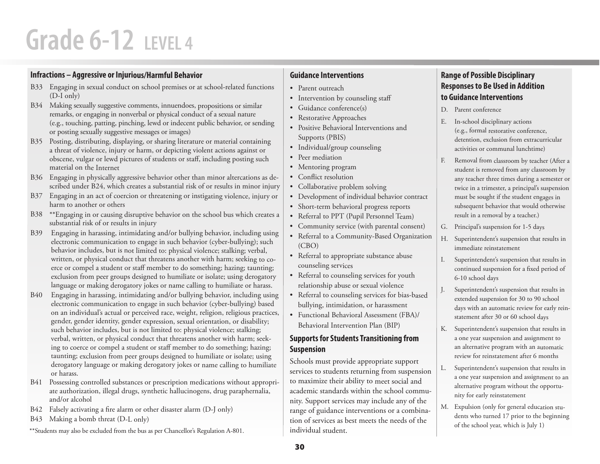### **Infractions – Aggressive or Injurious/Harmful Behavior**

- B33 Engaging in sexual conduct on school premises or at school-related functions (D-I only)
- B34 Making sexually suggestive comments, innuendoes, propositions or similar remarks, or engaging in nonverbal or physical conduct of a sexual nature (e.g., touching, patting, pinching, lewd or indecent public behavior, or sending or posting sexually suggestive messages or images)
- B35 Posting, distributing, displaying, or sharing literature or material containing a threat of violence, injury or harm, or depicting violent actions against or obscene, vulgar or lewd pictures of students or staff, including posting such material on the Internet
- B36 Engaging in <sup>p</sup>hysically aggressive behavior other than minor altercations as described under B24, which creates a substantial risk of or results in minor injury
- B37 Engaging in an act of coercion or threatening or instigating violence, injury or harm to another or others
- B38 \*\*Engaging in or causing disruptive behavior on the school bus which creates a substantial risk of or results in injury
- B39 Engaging in harassing, intimidating and/or bullying behavior, including using electronic communication to engage in such behavior (cyber-bullying); such behavior includes, but is not limited to: physical violence; stalking; verbal, written, or physical conduct that threatens another with harm; seeking to coerce or compel <sup>a</sup> student or staff member to do something; hazing; taunting; exclusion from peer groups designed to humiliate or isolate; using derogatory language or making derogatory jokes or name calling to humiliate or harass.
- B40 Engaging in harassing, intimidating and/or bullying behavior, including using electronic communication to engage in such behavior (cyber-bullying) based on an individual's actual or perceived race, weight, religion, religious practices, gender, gender identity, gender expression, sexual orientation, or disability; such behavior includes, but is not limited to: physical violence; stalking; verbal, written, or physical conduct that threatens another with harm; seeking to coerce or compel <sup>a</sup> student or staff member to do something; hazing; taunting; exclusion from peer groups designed to humiliate or isolate; using derogatory language or making derogatory jokes or name calling to humiliate or harass.
- B41 Possessing controlled substances or prescription medications without appropriate authorization, illegal drugs, synthetic hallucinogens, drug paraphernalia, and/or alcohol
- B42 Falsely activating a fire alarm or other disaster alarm (D-J only)
- B43 Making a bomb threat (D-L only)
- \*\*Students may also be excluded from the bus as per Chancellor's Regulation A-801.

### **Guidance Interventions**

- • Parent outreach
- • Intervention by counseling staff
- • Guidance conference(s)
- • Restorative Approaches
- • Positive Behavioral Interventions and Supports (PBIS)
- • Individual/group counseling
- • Peer mediation
- • Mentoring program
- • Conflict resolution
- • Collaborative problem solving
- • Development of individual behavior contract
- • Short-term behavioral progress reports
- • Referral to PPT (Pupil Personnel Team)
- • Community service (with parental consent)
- • Referral to <sup>a</sup> Community-Based Organization (CBO)
- • Referral to appropriate substance abuse counseling services
- • Referral to counseling services for youth relationship abuse or sexual violence
- • Referral to counseling services for bias-based bullying, intimidation, or harassment
- • Functional Behavioral Assessment (FBA)/ Behavioral Intervention Plan (BIP)

## **Supports for Students Transitioning from Suspension**

Schools must provide appropriate support services to students returning from suspension to maximize their ability to meet social and academic standards within the school community. Support services may include any of the range of guidance interventions or a combination of services as best meets the needs of the individual student.

- D. Parent conference
- E. In-school disciplinary actions (e.g., formal restorative conference, detention, exclusion from extracurricular activities or communal lunchtime)
- F. Removal from classroom by teacher (After a student is removed from any classroom by any teacher three times during a semester or twice in a trimester, a principal's suspension must be sought if the student engages in subsequent behavior that would otherwise result in a removal by a teacher.)
- G. Principal's suspension for 1-5 days
- H. Superintendent's suspension that results in immediate reinstatement
- I. Superintendent's suspension that results in continued suspension for a fixed period of 6-10 school days
- J. Superintendent's suspension that results in extended suspension for 30 to 90 school days with an automatic review for early reinstatement after 30 or 60 school days
- K. Superintendent's suspension that results in a one year suspension and assignment to an alternative program with an automatic review for reinstatement after 6 months
- L. Superintendent's suspension that results in a one year suspension and assignment to an alternative program without the opportunity for early reinstatement
- M. Expulsion (only for general education students who turned 17 prior to the beginning of the school year, which is July 1)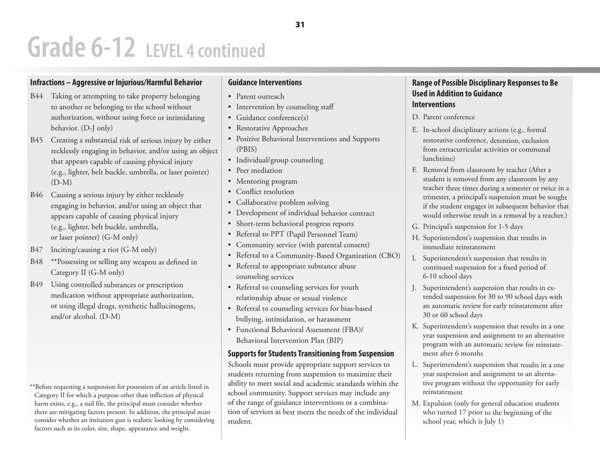## **Grade 6-12 LEVEL 4 continued**

### **Infractions – Aggressive or Injurious/Harmful Behavior**

- B44 Taking or attempting to take property belonging to another or belonging to the school without authorization, without using force or intimidating behavior. (D-J only)
- B45 Creating a substantial risk of serious injury by either recklessly engaging in behavior, and/or using an object that appears capable of causing physical injury (e.g., lighter, belt buckle, umbrella, or laser pointer)  $(D-M)$
- B46 Causing <sup>a</sup> serious injury by either recklessly engaging in behavior, and/or using an object that appears capable of causing physical injury (e.g., lighter, belt buckle, umbrella, or laser pointer) (G-M only)
- B47 Inciting/causing a riot (G-M only)
- B48 \*\*Possessing or selling any weapon as defined in Category II (G-M only)
- B49 Using controlled substances or prescription medication without appropriate authorization, or using illegal drugs, synthetic hallucinogens, and/or alcohol. (D-M)
- \*\*Before requesting <sup>a</sup> suspension for possession of an article listed in Category II for which a purpose other than infliction of physical harm exists, e.g., a nail file, the principal must consider whether there are mitigating factors present. In addition, the principal must

consider whether an imitation gun is realistic looking by considering

factors such as its color, size, shape, appearance and weight.

### **Guidance Interventions**

- • Parent outreach
- • Intervention by counseling staff
- • Guidance conference(s)
- • Restorative Approaches
- • Positive Behavioral Interventions and Supports (PBIS)
- • Individual/group counseling
- • Peer mediation
- • Mentoring program
- • Conflict resolution
- • Collaborative problem solving
- • Development of individual behavior contract
- • Short-term behavioral progress reports
- • Referral to PPT (Pupil Personnel Team)
- • Community service (with parental consent)
- • Referral to <sup>a</sup> Community-Based Organization (CBO)
- • Referral to appropriate substance abuse counseling services
- • Referral to counseling services for youth relationship abuse or sexual violence
- • Referral to counseling services for bias-based bullying, intimidation, or harassment
- • Functional Behavioral Assessment (FBA)/ Behavioral Intervention Plan (BIP)

### **Supports for Students Transitioning from Suspension**

Schools must provide appropriate support services to students returning from suspension to maximize their ability to meet social and academic standards within the school community. Support services may include any of the range of guidance interventions or a combination of services as best meets the needs of the individual student.

- D. Parent conference
- E. In-school disciplinary actions (e.g., formal restorative conference, detention, exclusion from extracurricular activities or communal lunchtime)
- F. Removal from classroom by teacher (After a student is removed from any classroom by any teacher three times during a semester or twice in a trimester, a principal's suspension must be sought if the student engages in subsequent behavior that would otherwise result in a removal by a teacher.)
- G. Principal's suspension for 1-5 days
- H. Superintendent's suspension that results in immediate reinstatement
- I. Superintendent's suspension that results in continued suspension for a fixed period of 6-10 school days
- J. Superintendent's suspension that results in extended suspension for 30 to 90 school days with an automatic review for early reinstatement after 30 or 60 school days
- K. Superintendent's suspension that results in a one year suspension and assignment to an alternative program with an automatic review for reinstatement after 6 months
- L. Superintendent's suspension that results in a one year suspension and assignment to an alternative program without the opportunity for early reinstatement
- M. Expulsion (only for general education students who turned 17 prior to the beginning of the school year, which is July 1)